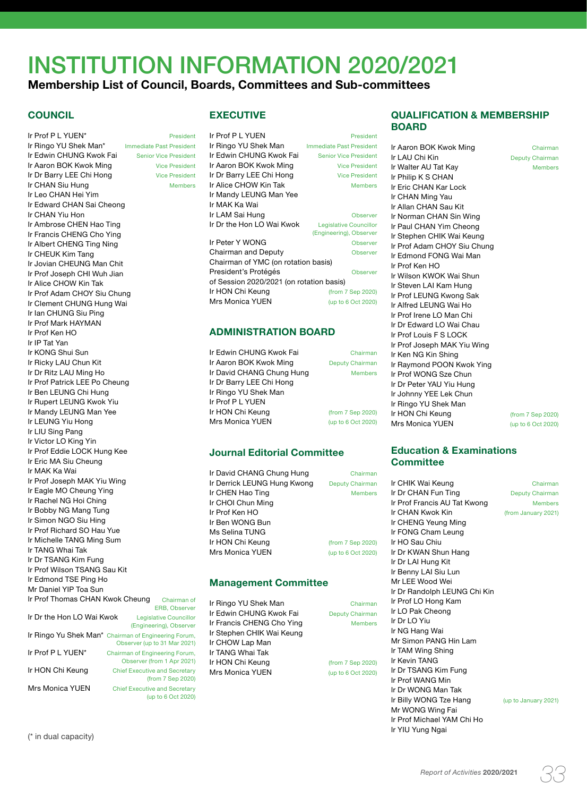# INSTITUTION INFORMATION 2020/2021

# **Membership List of Council, Boards, Committees and Sub-committees**

### **COUNCIL**

Ir Prof P L YUEN\* President Ir Ringo YU Shek Man\* Immediate Past President Ir Edwin CHUNG Kwok Fai Senior Vice President Ir Aaron BOK Kwok Ming Vice President Ir Dr Barry LEE Chi Hong Vice President Ir CHAN Siu Hung Members Ir Leo CHAN Hei Yim Ir Edward CHAN Sai Cheong Ir CHAN Yiu Hon Ir Ambrose CHEN Hao Ting Ir Francis CHENG Cho Ying Ir Albert CHENG Ting Ning Ir CHEUK Kim Tang Ir Jovian CHEUNG Man Chit Ir Prof Joseph CHI Wuh Jian Ir Alice CHOW Kin Tak Ir Prof Adam CHOY Siu Chung Ir Clement CHUNG Hung Wai Ir Ian CHUNG Siu Ping Ir Prof Mark HAYMAN Ir Prof Ken HO Ir IP Tat Yan Ir KONG Shui Sun Ir Ricky LAU Chun Kit Ir Dr Ritz LAU Ming Ho Ir Prof Patrick LEE Po Cheung Ir Ben LEUNG Chi Hung Ir Rupert LEUNG Kwok Yiu Ir Mandy LEUNG Man Yee Ir LEUNG Yiu Hong Ir LIU Sing Pang Ir Victor LO King Yin Ir Prof Eddie LOCK Hung Kee Ir Eric MA Siu Cheung Ir MAK Ka Wai Ir Prof Joseph MAK Yiu Wing Ir Eagle MO Cheung Ying Ir Rachel NG Hoi Ching Ir Bobby NG Mang Tung Ir Simon NGO Siu Hing Ir Prof Richard SO Hau Yue Ir Michelle TANG Ming Sum Ir TANG Whai Tak Ir Dr TSANG Kim Fung Ir Prof Wilson TSANG Sau Kit Ir Edmond TSE Ping Ho Mr Daniel YIP Toa Sun Ir Prof Thomas CHAN Kwok Cheung Chairman of ERB, Observer Ir Dr the Hon LO Wai Kwok Legislative Councillor (Engineering), Observer Ir Ringo Yu Shek Man\* Chairman of Engineering Forum, Observer (up to 31 Mar 2021) Ir Prof P L YUEN\* Chairman of Engineering Forum, Observer (from 1 Apr 2021) Ir HON Chi Keung Chief Executive and Secretary

Mrs Monica YUEN Chief Executive and Secretary

| <b>EXECUTIVE</b> |
|------------------|
|------------------|

| Ir Prof P L YUEN                         | President                       |  |
|------------------------------------------|---------------------------------|--|
| Ir Ringo YU Shek Man                     | <b>Immediate Past President</b> |  |
| Ir Edwin CHUNG Kwok Fai                  | <b>Senior Vice President</b>    |  |
| Ir Aaron BOK Kwok Ming                   | <b>Vice President</b>           |  |
| Ir Dr Barry LEE Chi Hong                 | <b>Vice President</b>           |  |
| Ir Alice CHOW Kin Tak                    | <b>Members</b>                  |  |
| Ir Mandy LEUNG Man Yee                   |                                 |  |
| Ir MAK Ka Wai                            |                                 |  |
| Ir LAM Sai Hung                          | Observer                        |  |
| Ir Dr the Hon LO Wai Kwok                | Legislative Councillor          |  |
|                                          | (Engineering), Observer         |  |
| Ir Peter Y WONG                          | Observer                        |  |
| Chairman and Deputy                      | Observer                        |  |
| Chairman of YMC (on rotation basis)      |                                 |  |
| President's Protégés                     | Observer                        |  |
| of Session 2020/2021 (on rotation basis) |                                 |  |
| Ir HON Chi Keung                         | (from 7 Sep 2020)               |  |
| <b>Mrs Monica YUEN</b>                   |                                 |  |
|                                          | (up to 6 Oct 2020)              |  |

### **ADMINISTRATION BOARD**

| Ir Edwin CHUNG Kwok Fai   | Chairman               |
|---------------------------|------------------------|
| Ir Aaron BOK Kwok Ming    | <b>Deputy Chairman</b> |
| Ir David CHANG Chung Hung | <b>Members</b>         |
| Ir Dr Barry LEE Chi Hong  |                        |
| Ir Ringo YU Shek Man      |                        |
| Ir Prof P L YUEN          |                        |
| Ir HON Chi Keung          | (from 7 Sep 2020)      |
| <b>Mrs Monica YUEN</b>    | (up to 6 Oct 2020)     |

### **Journal Editorial Committee**

Ir David CHANG Chung Hung Chairman Ir Derrick LEUNG Hung Kwong Deputy Chairman Ir CHEN Hao Ting Members Ir CHOI Chun Ming Ir Prof Ken HO Ir Ben WONG Bun Ms Selina TUNG Ir HON Chi Keung (from 7 Sep 2020) Mrs Monica YUEN (up to 6 Oct 2020)

### **Management Committee**

Ir Ringo YU Shek Man Chairman Ir Edwin CHUNG Kwok Fai Deputy Chairman Ir Francis CHENG Cho Ying Members Ir Stephen CHIK Wai Keung Ir CHOW Lap Man Ir TANG Whai Tak Ir HON Chi Keung (from 7 Sep 2020) Mrs Monica YUEN (up to 6 Oct 2020)

(from 7 Sep 2020)

(up to 6 Oct 2020)

### **QUALIFICATION & MEMBERSHIP BOARD**

Ir Aaron BOK Kwok Ming Chairman Ir LAU Chi Kin **Deputy Chairman** Ir Walter AU Tat Kay Members Ir Philip K S CHAN Ir Eric CHAN Kar Lock Ir CHAN Ming Yau Ir Allan CHAN Sau Kit Ir Norman CHAN Sin Wing Ir Paul CHAN Yim Cheong Ir Stephen CHIK Wai Keung Ir Prof Adam CHOY Siu Chung Ir Edmond FONG Wai Man Ir Prof Ken HO Ir Wilson KWOK Wai Shun Ir Steven LAI Kam Hung Ir Prof LEUNG Kwong Sak Ir Alfred LEUNG Wai Ho Ir Prof Irene LO Man Chi Ir Dr Edward LO Wai Chau Ir Prof Louis F S LOCK Ir Prof Joseph MAK Yiu Wing Ir Ken NG Kin Shing Ir Raymond POON Kwok Ying Ir Prof WONG Sze Chun Ir Dr Peter YAU Yiu Hung Ir Johnny YEE Lek Chun Ir Ringo YU Shek Man Ir HON Chi Keung (from 7 Sep 2020) Mrs Monica YUEN (up to 6 Oct 2020)

### **Education & Examinations Committee**

Ir CHIK Wai Keung **Chairman Ir Dr CHAN Fun Ting Chairman** Ir Prof Francis AU Tat Kwong Members Ir CHAN Kwok Kin (from January 2021) Ir CHENG Yeung Ming Ir FONG Cham Leung Ir HO Sau Chiu Ir Dr KWAN Shun Hang Ir Dr LAI Hung Kit Ir Benny LAI Siu Lun Mr LEE Wood Wei Ir Dr Randolph LEUNG Chi Kin Ir Prof LO Hong Kam Ir LO Pak Cheong Ir Dr LO Yiu Ir NG Hang Wai Mr Simon PANG Hin Lam Ir TAM Wing Shing Ir Kevin TANG Ir Dr TSANG Kim Fung Ir Prof WANG Min Ir Dr WONG Man Tak Ir Billy WONG Tze Hang (up to January 2021) Mr WONG Wing Fai Ir Prof Michael YAM Chi Ho<br>Ir YIU Yung Ngai

Ir YIU Yung Ngai (\* in dual capacity)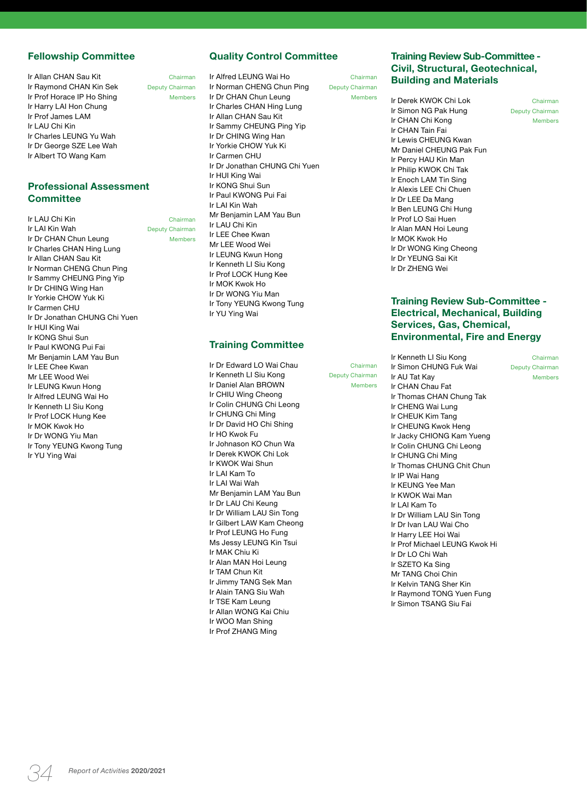### **Fellowship Committee**

Ir Allan CHAN Sau Kit Chairman Ir Raymond CHAN Kin Sek Deputy Chairman Ir Prof Horace IP Ho Shing Members Ir Harry LAI Hon Chung Ir Prof James LAM Ir LAU Chi Kin Ir Charles LEUNG Yu Wah Ir Dr George SZE Lee Wah Ir Albert TO Wang Kam

### **Professional Assessment Committee**

**Ir LAU Chi Kin** Chairman<br> **Ir LAI Kin Wah** Chairman Deputy Chairman Deputy Chairman Ir Dr CHAN Chun Leung Members Ir Charles CHAN Hing Lung Ir Allan CHAN Sau Kit Ir Norman CHENG Chun Ping Ir Sammy CHEUNG Ping Yip Ir Dr CHING Wing Han Ir Yorkie CHOW Yuk Ki Ir Carmen CHU Ir Dr Jonathan CHUNG Chi Yuen Ir HUI King Wai Ir KONG Shui Sun Ir Paul KWONG Pui Fai Mr Benjamin LAM Yau Bun Ir LEE Chee Kwan Mr LEE Wood Wei Ir LEUNG Kwun Hong Ir Alfred LEUNG Wai Ho Ir Kenneth LI Siu Kong Ir Prof LOCK Hung Kee Ir MOK Kwok Ho Ir Dr WONG Yiu Man Ir Tony YEUNG Kwong Tung Ir YU Ying Wai

## **Quality Control Committee**

Ir Alfred LEUNG Wai Ho Chairman Ir Norman CHENG Chun Ping Deputy Chairman Ir Dr CHAN Chun Leung Ir Charles CHAN Hing Lung Ir Allan CHAN Sau Kit Ir Sammy CHEUNG Ping Yip Ir Dr CHING Wing Han Ir Yorkie CHOW Yuk Ki Ir Carmen CHU Ir Dr Jonathan CHUNG Chi Yuen Ir HUI King Wai Ir KONG Shui Sun Ir Paul KWONG Pui Fai Ir LAI Kin Wah Mr Benjamin LAM Yau Bun Ir LAU Chi Kin Ir LEE Chee Kwan Mr LEE Wood Wei Ir LEUNG Kwun Hong Ir Kenneth LI Siu Kong Ir Prof LOCK Hung Kee Ir MOK Kwok Ho Ir Dr WONG Yiu Man Ir Tony YEUNG Kwong Tung Ir YU Ying Wai

### **Training Committee**

Ir Dr Edward LO Wai Chau Chairman Ir Kenneth LI Siu Kong Deputy Chairman Ir Daniel Alan BROWN Members Ir CHIU Wing Cheong Ir Colin CHUNG Chi Leong Ir CHUNG Chi Ming Ir Dr David HO Chi Shing Ir HO Kwok Fu Ir Johnason KO Chun Wa Ir Derek KWOK Chi Lok Ir KWOK Wai Shun Ir LAI Kam To Ir LAI Wai Wah Mr Benjamin LAM Yau Bun Ir Dr LAU Chi Keung Ir Dr William LAU Sin Tong Ir Gilbert LAW Kam Cheong Ir Prof LEUNG Ho Fung Ms Jessy LEUNG Kin Tsui Ir MAK Chiu Ki Ir Alan MAN Hoi Leung Ir TAM Chun Kit Ir Jimmy TANG Sek Man Ir Alain TANG Siu Wah Ir TSE Kam Leung Ir Allan WONG Kai Chiu Ir WOO Man Shing Ir Prof ZHANG Ming

**Training Review Sub-Committee - Civil, Structural, Geotechnical, Building and Materials**

Ir Derek KWOK Chi Lok Chairman Ir Simon NG Pak Hung Deputy Chairman Ir CHAN Chi Kong Members Ir CHAN Tain Fai Ir Lewis CHEUNG Kwan Mr Daniel CHEUNG Pak Fun Ir Percy HAU Kin Man Ir Philip KWOK Chi Tak Ir Enoch LAM Tin Sing Ir Alexis LEE Chi Chuen Ir Dr LEE Da Mang Ir Ben LEUNG Chi Hung Ir Prof LO Sai Huen Ir Alan MAN Hoi Leung Ir MOK Kwok Ho Ir Dr WONG King Cheong Ir Dr YEUNG Sai Kit Ir Dr ZHENG Wei

**Training Review Sub-Committee - Electrical, Mechanical, Building Services, Gas, Chemical, Environmental, Fire and Energy**

Ir Simon CHUNG Fuk Wai Deputy Chairman Ir AU Tat Kay Members Ir CHAN Chau Fat Ir Thomas CHAN Chung Tak Ir CHENG Wai Lung Ir CHEUK Kim Tang Ir CHEUNG Kwok Heng Ir Jacky CHIONG Kam Yueng Ir Colin CHUNG Chi Leong Ir CHUNG Chi Ming Ir Thomas CHUNG Chit Chun Ir IP Wai Hang Ir KEUNG Yee Man Ir KWOK Wai Man Ir LAI Kam To Ir Dr William LAU Sin Tong Ir Dr Ivan LAU Wai Cho Ir Harry LEE Hoi Wai Ir Prof Michael LEUNG Kwok Hi Ir Dr LO Chi Wah Ir SZETO Ka Sing Mr TANG Choi Chin Ir Kelvin TANG Sher Kin Ir Raymond TONG Yuen Fung Ir Simon TSANG Siu Fai

Ir Kenneth LI Siu Kong Chairman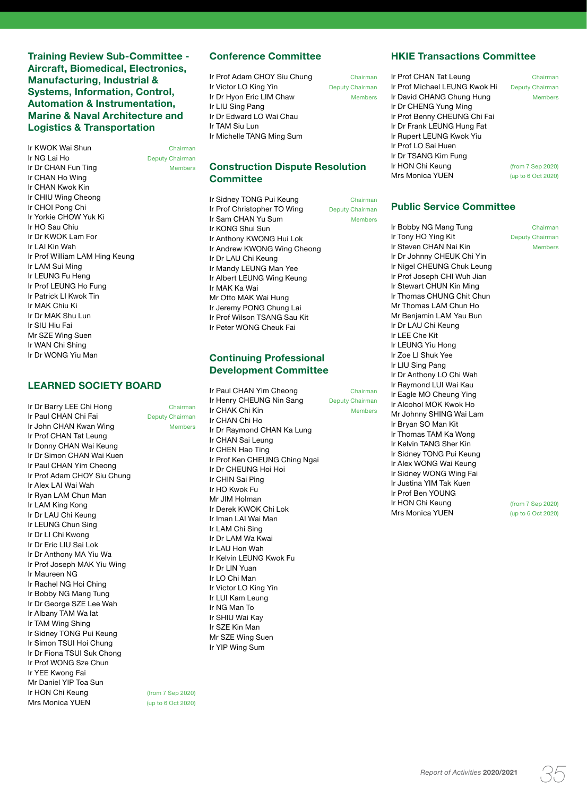**Training Review Sub-Committee - Aircraft, Biomedical, Electronics, Manufacturing, Industrial & Systems, Information, Control, Automation & Instrumentation, Marine & Naval Architecture and Logistics & Transportation** 

**Ir KWOK Wai Shun Chairman Chairman Chairman Chairman Chairman Chairman Chairman Chairman Chairman Chairman Cha<br>In the Chairman Chairman Chairman Chairman Chairman Chairman Chairman Chairman Chairman Chairman Chairman Chai** Ir Dr CHAN Fun Ting Members Ir CHAN Ho Wing Ir CHAN Kwok Kin Ir CHIU Wing Cheong Ir CHOI Pong Chi Ir Yorkie CHOW Yuk Ki Ir HO Sau Chiu Ir Dr KWOK Lam For Ir LAI Kin Wah Ir Prof William LAM Hing Keung Ir LAM Sui Ming Ir LEUNG Fu Heng Ir Prof LEUNG Ho Fung Ir Patrick LI Kwok Tin Ir MAK Chiu Ki Ir Dr MAK Shu Lun Ir SIU Hiu Fai Mr SZE Wing Suen Ir WAN Chi Shing Ir Dr WONG Yiu Man

### **LEARNED SOCIETY BOARD**

Ir Dr Barry LEE Chi Hong Chairman Ir Paul CHAN Chi Fai Deputy Chairman Ir John CHAN Kwan Wing Members Ir Prof CHAN Tat Leung Ir Donny CHAN Wai Keung Ir Dr Simon CHAN Wai Kuen Ir Paul CHAN Yim Cheong Ir Prof Adam CHOY Siu Chung Ir Alex LAI Wai Wah Ir Ryan LAM Chun Man Ir LAM King Kong Ir Dr LAU Chi Keung Ir LEUNG Chun Sing Ir Dr LI Chi Kwong Ir Dr Eric LIU Sai Lok Ir Dr Anthony MA Yiu Wa Ir Prof Joseph MAK Yiu Wing Ir Maureen NG Ir Rachel NG Hoi Ching Ir Bobby NG Mang Tung Ir Dr George SZE Lee Wah Ir Albany TAM Wa Iat Ir TAM Wing Shing Ir Sidney TONG Pui Keung Ir Simon TSUI Hoi Chung Ir Dr Fiona TSUI Suk Chong Ir Prof WONG Sze Chun Ir YEE Kwong Fai Mr Daniel YIP Toa Sun<br>Ir HON Chi Keung Mrs Monica YUEN (up to 6 Oct 2020)

Deputy Chairman

### **Conference Committee**

Ir Prof Adam CHOY Siu Chung Chairman **Ir Victor LO King Yin** Deputy Chairman<br>**Ir Dr Hyon Fric I IM Chaw** Members Ir Dr Hyon Eric LIM Chaw Ir LIU Sing Pang Ir Dr Edward LO Wai Chau Ir TAM Siu Lun Ir Michelle TANG Ming Sum

### **Construction Dispute Resolution Committee**

Ir Sidney TONG Pui Keung **Chairman** Ir Prof Christopher TO Wing Deputy Chairman Ir Sam CHAN Yu Sum Members Ir KONG Shui Sun Ir Anthony KWONG Hui Lok Ir Andrew KWONG Wing Cheong Ir Dr LAU Chi Keung Ir Mandy LEUNG Man Yee Ir Albert LEUNG Wing Keung Ir MAK Ka Wai Mr Otto MAK Wai Hung Ir Jeremy PONG Chung Lai Ir Prof Wilson TSANG Sau Kit Ir Peter WONG Cheuk Fai

### **Continuing Professional Development Committee**

Ir Paul CHAN Yim Cheong Chairman Ir Henry CHEUNG Nin Sang Deputy Chairman Ir CHAK Chi Kin Members Ir CHAN Chi Ho Ir Dr Raymond CHAN Ka Lung Ir CHAN Sai Leung Ir CHEN Hao Ting Ir Prof Ken CHEUNG Ching Ngai Ir Dr CHEUNG Hoi Hoi Ir CHIN Sai Ping Ir HO Kwok Fu Mr JIM Holman Ir Derek KWOK Chi Lok Ir Iman LAI Wai Man Ir LAM Chi Sing Ir Dr LAM Wa Kwai Ir LAU Hon Wah Ir Kelvin LEUNG Kwok Fu Ir Dr LIN Yuan Ir LO Chi Man Ir Victor LO King Yin Ir LUI Kam Leung Ir NG Man To Ir SHIU Wai Kay Ir SZE Kin Man Mr SZE Wing Suen Ir YIP Wing Sum

(from 7 Sep 2020)

**HKIE Transactions Committee**

Ir Prof CHAN Tat Leung Chairman Ir Prof Michael LEUNG Kwok Hi Deputy Chairman Ir David CHANG Chung Hung Members Ir Dr CHENG Yung Ming Ir Prof Benny CHEUNG Chi Fai Ir Dr Frank LEUNG Hung Fat Ir Rupert LEUNG Kwok Yiu Ir Prof LO Sai Huen Ir Dr TSANG Kim Fung Ir HON Chi Keung<br>
Mrs Monica YUEN<br>
(up to 6 Oct 2020) Mrs Monica YUEN

### **Public Service Committee**

Ir Bobby NG Mang Tung Chairman Ir Tony HO Ying Kit Deputy Chairman Ir Steven CHAN Nai Kin Members Ir Dr Johnny CHEUK Chi Yin Ir Nigel CHEUNG Chuk Leung Ir Prof Joseph CHI Wuh Jian Ir Stewart CHUN Kin Ming Ir Thomas CHUNG Chit Chun Mr Thomas LAM Chun Ho Mr Benjamin LAM Yau Bun Ir Dr LAU Chi Keung Ir LEE Che Kit Ir LEUNG Yiu Hong Ir Zoe LI Shuk Yee Ir LIU Sing Pang Ir Dr Anthony LO Chi Wah Ir Raymond LUI Wai Kau Ir Eagle MO Cheung Ying Ir Alcohol MOK Kwok Ho Mr Johnny SHING Wai Lam Ir Bryan SO Man Kit Ir Thomas TAM Ka Wong Ir Kelvin TANG Sher Kin Ir Sidney TONG Pui Keung Ir Alex WONG Wai Keung Ir Sidney WONG Wing Fai Ir Justina YIM Tak Kuen Ir Prof Ben YOUNG Ir HON Chi Keung (from 7 Sep 2020) Mrs Monica YUEN (up to 6 Oct 2020)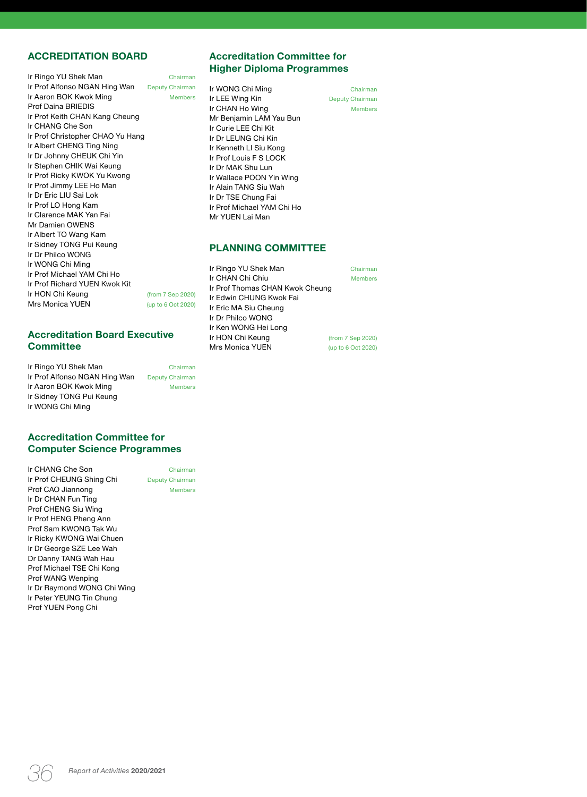### **ACCREDITATION BOARD**

| Ir Ringo YU Shek Man             | Chairman               |
|----------------------------------|------------------------|
| Ir Prof Alfonso NGAN Hing Wan    | <b>Deputy Chairman</b> |
| Ir Aaron BOK Kwok Ming           | <b>Members</b>         |
| Prof Daina BRIEDIS               |                        |
| Ir Prof Keith CHAN Kang Cheung   |                        |
| Ir CHANG Che Son                 |                        |
| Ir Prof Christopher CHAO Yu Hang |                        |
| Ir Albert CHENG Ting Ning        |                        |
| Ir Dr Johnny CHEUK Chi Yin       |                        |
| Ir Stephen CHIK Wai Keung        |                        |
| Ir Prof Ricky KWOK Yu Kwong      |                        |
| Ir Prof Jimmy LEE Ho Man         |                        |
| Ir Dr Eric LIU Sai Lok           |                        |
| Ir Prof LO Hong Kam              |                        |
| Ir Clarence MAK Yan Fai          |                        |
| Mr Damien OWENS                  |                        |
| Ir Albert TO Wang Kam            |                        |
| Ir Sidney TONG Pui Keung         |                        |
| Ir Dr Philco WONG                |                        |
| Ir WONG Chi Ming                 |                        |
| Ir Prof Michael YAM Chi Ho       |                        |
| Ir Prof Richard YUEN Kwok Kit    |                        |
| Ir HON Chi Keung                 | (from 7 Sep 2020)      |
| Mrs Monica YUEN                  | (up to 6 Oct 2020)     |
|                                  |                        |

### **Accreditation Board Executive Committee**

| Ir Ringo YU Shek Man          | Chairman               |
|-------------------------------|------------------------|
| Ir Prof Alfonso NGAN Hing Wan | <b>Deputy Chairman</b> |
| Ir Aaron BOK Kwok Ming        | <b>Members</b>         |
| Ir Sidney TONG Pui Keung      |                        |
| Ir WONG Chi Ming              |                        |

**Accreditation Committee for Computer Science Programmes**

Ir CHANG Che Son Chairman<br>Ir Prof CHEUNG Shing Chi Deputy Chairman Ir Prof CHEUNG Shing Chi Prof CAO Jiannong Members Ir Dr CHAN Fun Ting Prof CHENG Siu Wing Ir Prof HENG Pheng Ann Prof Sam KWONG Tak Wu Ir Ricky KWONG Wai Chuen Ir Dr George SZE Lee Wah Dr Danny TANG Wah Hau Prof Michael TSE Chi Kong Prof WANG Wenping Ir Dr Raymond WONG Chi Wing Ir Peter YEUNG Tin Chung Prof YUEN Pong Chi

**Accreditation Committee for Higher Diploma Programmes** 

**Ir WONG Chi Ming**<br> **Ir LEE Wing Kin**<br> **Ir LEE Wing Kin Ir LEE Wing Kin** Deputy Chairman<br> **Ir CHAN Ho Wing Chairman** Members Ir CHAN Ho Wing Mr Benjamin LAM Yau Bun Ir Curie LEE Chi Kit Ir Dr LEUNG Chi Kin Ir Kenneth LI Siu Kong Ir Prof Louis F S LOCK Ir Dr MAK Shu Lun Ir Wallace POON Yin Wing Ir Alain TANG Siu Wah Ir Dr TSE Chung Fai Ir Prof Michael YAM Chi Ho Mr YUEN Lai Man

### **PLANNING COMMITTEE**

Ir Ringo YU Shek Man Chairman Ir CHAN Chi Chiu **Members** Ir Prof Thomas CHAN Kwok Cheung Ir Edwin CHUNG Kwok Fai Ir Eric MA Siu Cheung Ir Dr Philco WONG Ir Ken WONG Hei Long Ir HON Chi Keung (from 7 Sep 2020) Mrs Monica YUEN (up to 6 Oct 2020)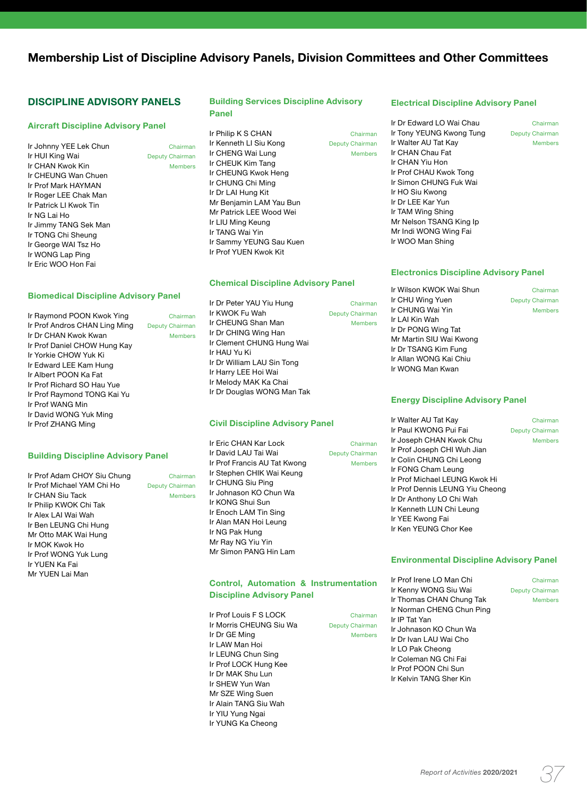# **Membership List of Discipline Advisory Panels, Division Committees and Other Committees**

### **DISCIPLINE ADVISORY PANELS**

#### **Aircraft Discipline Advisory Panel**

| Ir Johnny YEE Lek Chun | Chairman               |
|------------------------|------------------------|
| Ir HUI King Wai        | <b>Deputy Chairman</b> |
| Ir CHAN Kwok Kin       | <b>Members</b>         |
| Ir CHEUNG Wan Chuen    |                        |
| Ir Prof Mark HAYMAN    |                        |
| Ir Roger LEE Chak Man  |                        |
| Ir Patrick LI Kwok Tin |                        |
| Ir NG Lai Ho           |                        |
| Ir Jimmy TANG Sek Man  |                        |
| Ir TONG Chi Sheung     |                        |
| Ir George WAI Tsz Ho   |                        |
| Ir WONG Lap Ping       |                        |
| Ir Eric WOO Hon Fai    |                        |

#### **Biomedical Discipline Advisory Panel**

| Ir Raymond POON Kwok Ying     | Chairman               |
|-------------------------------|------------------------|
| Ir Prof Andros CHAN Ling Ming | <b>Deputy Chairman</b> |
| Ir Dr CHAN Kwok Kwan          | <b>Members</b>         |
| Ir Prof Daniel CHOW Hung Kay  |                        |
| Ir Yorkie CHOW Yuk Ki         |                        |
| Ir Edward LEE Kam Hung        |                        |
| Ir Albert POON Ka Fat         |                        |
| Ir Prof Richard SO Hau Yue    |                        |
| Ir Prof Raymond TONG Kai Yu   |                        |
| Ir Prof WANG Min              |                        |
| Ir David WONG Yuk Ming        |                        |
| Ir Prof ZHANG Ming            |                        |

#### **Building Discipline Advisory Panel**

Ir Prof Adam CHOY Siu Chung Chairman Ir Prof Michael YAM Chi Ho Deputy Chairman Ir CHAN Siu Tack Members Ir Philip KWOK Chi Tak Ir Alex LAI Wai Wah Ir Ben LEUNG Chi Hung Mr Otto MAK Wai Hung Ir MOK Kwok Ho Ir Prof WONG Yuk Lung Ir YUEN Ka Fai Mr YUEN Lai Man

#### **Building Services Discipline Advisory Panel**

Ir Philip K S CHAN Chairman Ir Kenneth LI Siu Kong Deputy Chairman Ir CHENG Wai Lung Members Ir CHEUK Kim Tang Ir CHEUNG Kwok Heng Ir CHUNG Chi Ming Ir Dr LAI Hung Kit Mr Benjamin LAM Yau Bun Mr Patrick LEE Wood Wei Ir LIU Ming Keung Ir TANG Wai Yin Ir Sammy YEUNG Sau Kuen Ir Prof YUEN Kwok Kit

#### **Chemical Discipline Advisory Panel**

Ir Dr Peter YAU Yiu Hung Chairman Ir KWOK Fu Wah Deputy Chairman Ir CHEUNG Shan Man Members Ir Dr CHING Wing Han Ir Clement CHUNG Hung Wai Ir HAU Yu Ki Ir Dr William LAU Sin Tong Ir Harry LEE Hoi Wai Ir Melody MAK Ka Chai Ir Dr Douglas WONG Man Tak

#### **Civil Discipline Advisory Panel**

Ir Eric CHAN Kar Lock Chairman Ir David LAU Tai Wai Deputy Chairman Ir Prof Francis AU Tat Kwong Ir Stephen CHIK Wai Keung Ir CHUNG Siu Ping Ir Johnason KO Chun Wa Ir KONG Shui Sun Ir Enoch LAM Tin Sing Ir Alan MAN Hoi Leung Ir NG Pak Hung Mr Ray NG Yiu Yin Mr Simon PANG Hin Lam

#### **Control, Automation & Instrumentation Discipline Advisory Panel**

Ir Prof Louis F S LOCK Chairman Ir Morris CHEUNG Siu Wa Deputy Chairman Ir Dr GE Ming Members Ir LAW Man Hoi Ir LEUNG Chun Sing Ir Prof LOCK Hung Kee Ir Dr MAK Shu Lun Ir SHEW Yun Wan Mr SZE Wing Suen Ir Alain TANG Siu Wah Ir YIU Yung Ngai Ir YUNG Ka Cheong

#### **Electrical Discipline Advisory Panel**

**Ir Dr Edward LO Wai Chau** Chairman<br>**Ir Tony YEUNG Kwong Tung** Deputy Chairman Ir Tony YEUNG Kwong Tung Ir Walter AU Tat Kay Members Ir CHAN Chau Fat Ir CHAN Yiu Hon Ir Prof CHAU Kwok Tong Ir Simon CHUNG Fuk Wai Ir HO Siu Kwong Ir Dr LEE Kar Yun Ir TAM Wing Shing Mr Nelson TSANG King Ip Mr Indi WONG Wing Fai Ir WOO Man Shing

#### **Electronics Discipline Advisory Panel**

Ir Wilson KWOK Wai Shun Chairman Ir CHU Wing Yuen Deputy Chairman Ir CHUNG Wai Yin **Members** Ir LAI Kin Wah Ir Dr PONG Wing Tat Mr Martin SIU Wai Kwong Ir Dr TSANG Kim Fung Ir Allan WONG Kai Chiu Ir WONG Man Kwan

#### **Energy Discipline Advisory Panel**

Ir Walter AU Tat Kay Chairman Ir Paul KWONG Pui Fai Deputy Chairman Ir Joseph CHAN Kwok Chu Members Ir Prof Joseph CHI Wuh Jian Ir Colin CHUNG Chi Leong Ir FONG Cham Leung Ir Prof Michael LEUNG Kwok Hi Ir Prof Dennis LEUNG Yiu Cheong Ir Dr Anthony LO Chi Wah Ir Kenneth LUN Chi Leung Ir YEE Kwong Fai Ir Ken YEUNG Chor Kee

#### **Environmental Discipline Advisory Panel**

Ir Prof Irene LO Man Chi Chairman Ir Kenny WONG Siu Wai Deputy Chairman Ir Thomas CHAN Chung Tak Members Ir Norman CHENG Chun Ping Ir IP Tat Yan Ir Johnason KO Chun Wa Ir Dr Ivan LAU Wai Cho Ir LO Pak Cheong Ir Coleman NG Chi Fai Ir Prof POON Chi Sun Ir Kelvin TANG Sher Kin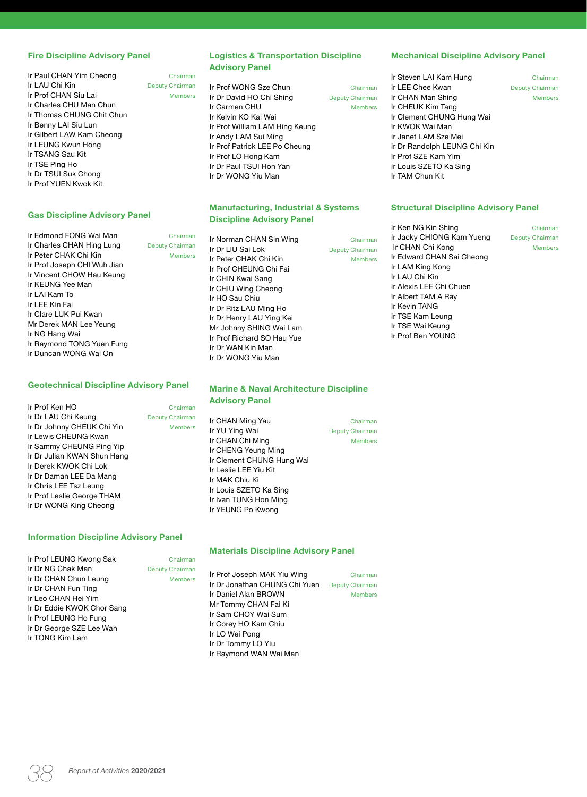#### **Fire Discipline Advisory Panel**

| Ir Paul CHAN Yim Cheong   | Chairman               |
|---------------------------|------------------------|
| Ir I AU Chi Kin           | <b>Deputy Chairman</b> |
| Ir Prof CHAN Siu Lai      | <b>Members</b>         |
| Ir Charles CHU Man Chun   |                        |
| Ir Thomas CHUNG Chit Chun |                        |
| Ir Benny LAI Siu Lun      |                        |
| Ir Gilbert LAW Kam Cheong |                        |
| Ir LEUNG Kwun Hong        |                        |
| Ir TSANG Sau Kit          |                        |
| Ir TSE Ping Ho            |                        |
| Ir Dr TSUI Suk Chong      |                        |
| Ir Prof YUFN Kwok Kit     |                        |

#### **Gas Discipline Advisory Panel**

| Ir Edmond FONG Wai Man      | Chairman               |
|-----------------------------|------------------------|
| Ir Charles CHAN Hing Lung   | <b>Deputy Chairman</b> |
| Ir Peter CHAK Chi Kin       | <b>Members</b>         |
| Ir Prof Joseph CHI Wuh Jian |                        |
| Ir Vincent CHOW Hau Keung   |                        |
| Ir KFUNG Yee Man            |                        |
| Ir I AI Kam To              |                        |
| Ir LEE Kin Fai              |                        |
| Ir Clare LUK Pui Kwan       |                        |
| Mr Derek MAN Lee Yeung      |                        |
| Ir NG Hang Wai              |                        |
| Ir Raymond TONG Yuen Fung   |                        |
| Ir Duncan WONG Wai On       |                        |

#### **Geotechnical Discipline Advisory Panel**

| Ir Prof Ken HO              | Chairman               |
|-----------------------------|------------------------|
| Ir Dr LAU Chi Keung         | <b>Deputy Chairman</b> |
| Ir Dr Johnny CHEUK Chi Yin  | <b>Members</b>         |
| Ir Lewis CHEUNG Kwan        |                        |
| Ir Sammy CHEUNG Ping Yip    |                        |
| Ir Dr Julian KWAN Shun Hang |                        |
| Ir Derek KWOK Chi Lok       |                        |
| Ir Dr Daman LEE Da Mang     |                        |
| Ir Chris LEE Tsz Leung      |                        |
| Ir Prof Leslie George THAM  |                        |
| Ir Dr WONG King Cheong      |                        |

### **Information Discipline Advisory Panel**

|                            |                 | <b>Materials Discipline Advisory Panel</b> |                 |
|----------------------------|-----------------|--------------------------------------------|-----------------|
| Ir Prof LEUNG Kwong Sak    | Chairman        |                                            |                 |
| Ir Dr NG Chak Man          | Deputy Chairman |                                            |                 |
| Ir Dr CHAN Chun Leung      | <b>Members</b>  | Ir Prof Joseph MAK Yiu Wing                | Chairman        |
| Ir Dr CHAN Fun Ting        |                 | Ir Dr Jonathan CHUNG Chi Yuen              | Deputy Chairman |
|                            |                 | Ir Daniel Alan BROWN                       | <b>Members</b>  |
| Ir Leo CHAN Hei Yim        |                 | Mr Tommy CHAN Fai Ki                       |                 |
| Ir Dr Eddie KWOK Chor Sang |                 |                                            |                 |
| Ir Prof LEUNG Ho Fung      |                 | Ir Sam CHOY Wai Sum                        |                 |
| Ir Dr George SZE Lee Wah   |                 | Ir Corey HO Kam Chiu                       |                 |
|                            |                 | Ir LO Wei Pong                             |                 |
| Ir TONG Kim Lam            |                 | Ir Dr Tommy LO Yiu                         |                 |
|                            |                 | Ir Raymond WAN Wai Man                     |                 |

### **Logistics & Transportation Discipline Advisory Panel**

Ir Prof WONG Sze Chun Chairman Ir Dr David HO Chi Shing Deputy Chairman Ir Carmen CHU Members Ir Kelvin KO Kai Wai Ir Prof William LAM Hing Keung Ir Andy LAM Sui Ming Ir Prof Patrick LEE Po Cheung Ir Prof LO Hong Kam Ir Dr Paul TSUI Hon Yan Ir Dr WONG Yiu Man

### **Manufacturing, Industrial & Systems Discipline Advisory Panel**

Ir Norman CHAN Sin Wing **Chairman** Ir Dr LIU Sai Lok Deputy Chairman Ir Peter CHAK Chi Kin Members Ir Prof CHEUNG Chi Fai Ir CHIN Kwai Sang Ir CHIU Wing Cheong Ir HO Sau Chiu Ir Dr Ritz LAU Ming Ho Ir Dr Henry LAU Ying Kei Mr Johnny SHING Wai Lam Ir Prof Richard SO Hau Yue Ir Dr WAN Kin Man Ir Dr WONG Yiu Man

#### **Marine & Naval Architecture Discipline Advisory Panel**

**Ir CHAN Ming Yau Chairman Chairman Chairman**<br> **Ir YU Ying Wai Chairman** Deputy Chairman Ir YU Ying Wai Ir CHAN Chi Ming Members Ir CHENG Yeung Ming Ir Clement CHUNG Hung Wai Ir Leslie LEE Yiu Kit Ir MAK Chiu Ki Ir Louis SZETO Ka Sing Ir Ivan TUNG Hon Ming Ir YEUNG Po Kwong

#### **Mechanical Discipline Advisory Panel**

Ir Steven LAI Kam Hung Chairman Ir LEE Chee Kwan Deputy Chairman Ir CHAN Man Shing Members Ir CHEUK Kim Tang Ir Clement CHUNG Hung Wai Ir KWOK Wai Man Ir Janet LAM Sze Mei Ir Dr Randolph LEUNG Chi Kin Ir Prof SZE Kam Yim Ir Louis SZETO Ka Sing Ir TAM Chun Kit

#### **Structural Discipline Advisory Panel**

Ir Ken NG Kin Shing **Chairman** Ir Jacky CHIONG Kam Yueng Deputy Chairman Ir CHAN Chi Kong Members Ir Edward CHAN Sai Cheong Ir LAM King Kong Ir LAU Chi Kin Ir Alexis LEE Chi Chuen Ir Albert TAM A Ray Ir Kevin TANG Ir TSE Kam Leung Ir TSE Wai Keung Ir Prof Ben YOUNG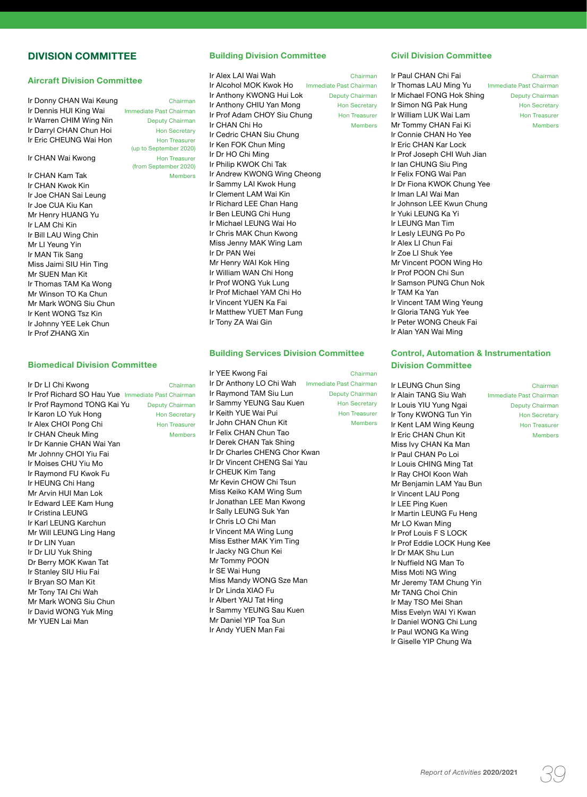### **DIVISION COMMITTEE**

### **Aircraft Division Committee**

| Ir Donny CHAN Wai Keung | Chairman                |
|-------------------------|-------------------------|
| Ir Dennis HUI King Wai  | Immediate Past Chairman |
| Ir Warren CHIM Wing Nin | Deputy Chairman         |
| Ir Darryl CHAN Chun Hoi | <b>Hon Secretary</b>    |
| Ir Eric CHEUNG Wai Hon  | <b>Hon Treasurer</b>    |
|                         | (up to September 2020)  |
| Ir CHAN Wai Kwong       | <b>Hon Treasurer</b>    |
|                         | (from September 2020)   |
| Ir CHAN Kam Tak         | <b>Members</b>          |
| Ir CHAN Kwok Kin        |                         |

Ir Joe CHAN Sai Leung Ir Joe CUA Kiu Kan Mr Henry HUANG Yu Ir LAM Chi Kin Ir Bill LAU Wing Chin Mr LI Yeung Yin Ir MAN Tik Sang Miss Jaimi SIU Hin Ting Mr SUEN Man Kit Ir Thomas TAM Ka Wong Mr Winson TO Ka Chun Mr Mark WONG Siu Chun Ir Kent WONG Tsz Kin Ir Johnny YEE Lek Chun Ir Prof ZHANG Xin

#### **Biomedical Division Committee**

| Ir Dr Ll Chi Kwong                                 | Chairman             |
|----------------------------------------------------|----------------------|
| Ir Prof Richard SO Hau Yue Immediate Past Chairman |                      |
| Ir Prof Raymond TONG Kai Yu                        |                      |
|                                                    | Deputy Chairman      |
| Ir Karon LO Yuk Hong                               | <b>Hon Secretary</b> |
| Ir Alex CHOI Pong Chi                              | <b>Hon Treasurer</b> |
| Ir CHAN Cheuk Ming                                 | <b>Members</b>       |
| Ir Dr Kannie CHAN Wai Yan                          |                      |
| Mr Johnny CHOI Yiu Fai                             |                      |
| Ir Moises CHU Yiu Mo                               |                      |
| Ir Raymond FU Kwok Fu                              |                      |
| Ir HEUNG Chi Hang                                  |                      |
| Mr Arvin HUI Man Lok                               |                      |
| Ir Edward LEE Kam Hung                             |                      |
| Ir Cristina LEUNG                                  |                      |
| Ir Karl LEUNG Karchun                              |                      |
| Mr Will LEUNG Ling Hang                            |                      |
| Ir Dr LIN Yuan                                     |                      |
| Ir Dr LIU Yuk Shing                                |                      |
| Dr Berry MOK Kwan Tat                              |                      |
| Ir Stanley SIU Hiu Fai                             |                      |
| Ir Bryan SO Man Kit                                |                      |
| Mr Tony TAI Chi Wah                                |                      |
| Mr Mark WONG Siu Chun                              |                      |
| Ir David WONG Yuk Ming                             |                      |
| Mr YUEN Lai Man                                    |                      |

### **Building Division Committee**

| Ir Alex LAI Wai Wah                                   | Chairman             |
|-------------------------------------------------------|----------------------|
| <b>Ir Alcohol MOK Kwok Ho</b> Immediate Past Chairman |                      |
| Ir Anthony KWONG Hui Lok                              | Deputy Chairman      |
| Ir Anthony CHIU Yan Mong                              | <b>Hon Secretary</b> |
| Ir Prof Adam CHOY Siu Chung                           | <b>Hon Treasurer</b> |
| Ir CHAN Chi Ho                                        | <b>Members</b>       |
| Ir Cedric CHAN Siu Chung                              |                      |
| Ir Ken FOK Chun Ming                                  |                      |
| Ir Dr HO Chi Ming                                     |                      |
| Ir Philip KWOK Chi Tak                                |                      |
| Ir Andrew KWONG Wing Cheong                           |                      |
| Ir Sammy LAI Kwok Hung                                |                      |
| Ir Clement LAM Wai Kin                                |                      |
| Ir Richard LEE Chan Hang                              |                      |
| Ir Ben LEUNG Chi Hung                                 |                      |
| Ir Michael LEUNG Wai Ho                               |                      |
| Ir Chris MAK Chun Kwong                               |                      |
| Miss Jenny MAK Wing Lam                               |                      |
| Ir Dr PAN Wei                                         |                      |
| Mr Henry WAI Kok Hing                                 |                      |
| Ir William WAN Chi Hong                               |                      |
| Ir Prof WONG Yuk Lung                                 |                      |
| Ir Prof Michael YAM Chi Ho                            |                      |
| Ir Vincent YUEN Ka Fai                                |                      |
| Ir Matthew YUET Man Fung                              |                      |
| Ir Tony ZA Wai Gin                                    |                      |
|                                                       |                      |

#### **Building Services Division Committee**

Ir YEE Kwong Fai Chairman Ir Dr Anthony LO Chi Wah Immediate Past Chairman Ir Raymond TAM Siu Lun Deputy Chairman Ir Sammy YEUNG Sau Kuen Hon Secretary **Ir Keith YUE Wai Pui Hon Treasurer** Ir John CHAN Chun Kit Members Ir Felix CHAN Chun Tao Ir Derek CHAN Tak Shing Ir Dr Charles CHENG Chor Kwan Ir Dr Vincent CHENG Sai Yau Ir CHEUK Kim Tang Mr Kevin CHOW Chi Tsun Miss Keiko KAM Wing Sum Ir Jonathan LEE Man Kwong Ir Sally LEUNG Suk Yan Ir Chris LO Chi Man Ir Vincent MA Wing Lung Miss Esther MAK Yim Ting Ir Jacky NG Chun Kei Mr Tommy POON Ir SE Wai Hung Miss Mandy WONG Sze Man Ir Dr Linda XIAO Fu Ir Albert YAU Tat Hing Ir Sammy YEUNG Sau Kuen Mr Daniel YIP Toa Sun Ir Andy YUEN Man Fai

### **Civil Division Committee**

Ir Paul CHAN Chi Fai **Chairman**<br>Ir Thomas LAU Ming Yu **Immediate Past Chairman** Ir Thomas LAU Ming Yu Ir Michael FONG Hok Shing Deputy Chairman **Ir Simon NG Pak Hung**<br> **Ir William LUK Wai Lam**<br>
Hon Treasurer Ir William LUK Wai Lam Mr Tommy CHAN Fai Ki **Members** Ir Connie CHAN Ho Yee Ir Eric CHAN Kar Lock Ir Prof Joseph CHI Wuh Jian Ir Ian CHUNG Siu Ping Ir Felix FONG Wai Pan Ir Dr Fiona KWOK Chung Yee Ir Iman LAI Wai Man Ir Johnson LEE Kwun Chung Ir Yuki LEUNG Ka Yi Ir LEUNG Man Tim Ir Lesly LEUNG Po Po Ir Alex LI Chun Fai Ir Zoe LI Shuk Yee Mr Vincent POON Wing Ho Ir Prof POON Chi Sun Ir Samson PUNG Chun Nok Ir TAM Ka Yan Ir Vincent TAM Wing Yeung Ir Gloria TANG Yuk Yee Ir Peter WONG Cheuk Fai Ir Alan YAN Wai Ming

### **Control, Automation & Instrumentation Division Committee**

Ir LEUNG Chun Sing Chairman Ir Alain TANG Siu Wah Immediate Past Chairman Ir Louis YIU Yung Ngai Deputy Chairman Ir Tony KWONG Tun Yin Hon Secretary Ir Kent LAM Wing Keung Hon Treasurer Ir Eric CHAN Chun Kit Members Miss Ivy CHAN Ka Man Ir Paul CHAN Po Loi Ir Louis CHING Ming Tat Ir Ray CHOI Koon Wah Mr Benjamin LAM Yau Bun Ir Vincent LAU Pong Ir LEE Ping Kuen Ir Martin LEUNG Fu Heng Mr LO Kwan Ming Ir Prof Louis F S LOCK Ir Prof Eddie LOCK Hung Kee Ir Dr MAK Shu Lun Ir Nuffield NG Man To Miss Moti NG Wing Mr Jeremy TAM Chung Yin Mr TANG Choi Chin Ir May TSO Mei Shan Miss Evelyn WAI Yi Kwan Ir Daniel WONG Chi Lung Ir Paul WONG Ka Wing Ir Giselle YIP Chung Wa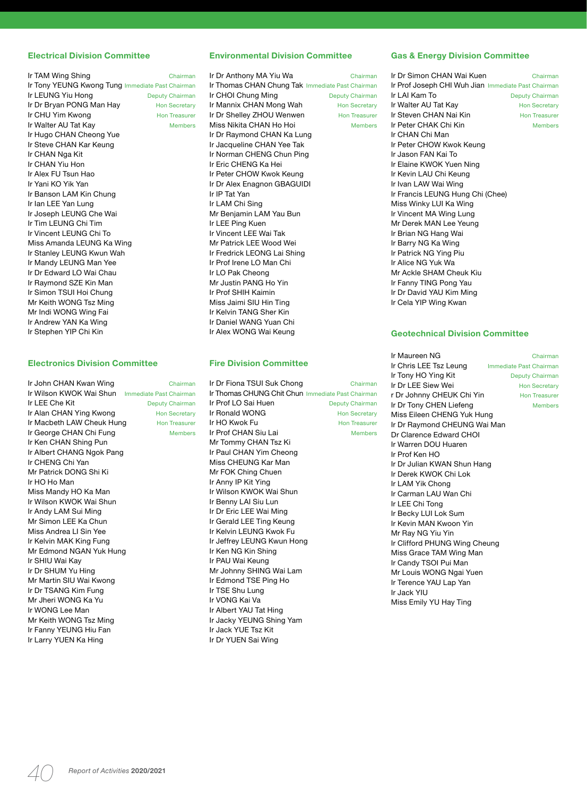#### **Electrical Division Committee**

| Chairman                                         |
|--------------------------------------------------|
| Ir Tony YEUNG Kwong Tung Immediate Past Chairman |
| Deputy Chairman                                  |
| <b>Hon Secretary</b>                             |
| <b>Hon Treasurer</b>                             |
| <b>Members</b>                                   |
|                                                  |
|                                                  |
|                                                  |
|                                                  |
|                                                  |
|                                                  |
|                                                  |
|                                                  |
|                                                  |
|                                                  |
|                                                  |
|                                                  |
|                                                  |
|                                                  |
|                                                  |
|                                                  |
|                                                  |
|                                                  |
|                                                  |
|                                                  |
|                                                  |
|                                                  |

#### **Electronics Division Committee**

| Ir John CHAN Kwan Wing                          | Chairman             |
|-------------------------------------------------|----------------------|
| Ir Wilson KWOK Wai Shun Immediate Past Chairman |                      |
| Ir LEE Che Kit                                  | Deputy Chairman      |
| Ir Alan CHAN Ying Kwong                         | <b>Hon Secretary</b> |
| Ir Macbeth LAW Cheuk Hung                       | <b>Hon Treasurer</b> |
| Ir George CHAN Chi Fung                         | <b>Members</b>       |
| Ir Ken CHAN Shing Pun                           |                      |
| Ir Albert CHANG Ngok Pang                       |                      |
| Ir CHENG Chi Yan                                |                      |
| Mr Patrick DONG Shi Ki                          |                      |
| Ir HO Ho Man                                    |                      |
| Miss Mandy HO Ka Man                            |                      |
| Ir Wilson KWOK Wai Shun                         |                      |
| Ir Andy LAM Sui Ming                            |                      |
| Mr Simon LEE Ka Chun                            |                      |
| Miss Andrea LI Sin Yee                          |                      |
| Ir Kelvin MAK King Fung                         |                      |
| Mr Edmond NGAN Yuk Hung                         |                      |
| Ir SHIU Wai Kay                                 |                      |
| Ir Dr SHUM Yu Hing                              |                      |
| Mr Martin SIU Wai Kwong                         |                      |
| Ir Dr TSANG Kim Fung                            |                      |
| Mr Jheri WONG Ka Yu                             |                      |
| Ir WONG Lee Man                                 |                      |
| Mr Keith WONG Tsz Ming                          |                      |
| Ir Fanny YEUNG Hiu Fan                          |                      |
| Ir Larry YUEN Ka Hing                           |                      |

#### **Environmental Division Committee**

Ir Dr Anthony MA Yiu Wa Chairman Ir Thomas CHAN Chung Tak Immediate Past Chairman Ir CHOI Chung Ming Deputy Chairman Ir Mannix CHAN Mong Wah Hon Secretary Ir Dr Shelley ZHOU Wenwen Hon Treasurer Miss Nikita CHAN Ho Hoi Members Ir Dr Raymond CHAN Ka Lung Ir Jacqueline CHAN Yee Tak Ir Norman CHENG Chun Ping Ir Eric CHENG Ka Hei Ir Peter CHOW Kwok Keung Ir Dr Alex Enagnon GBAGUIDI Ir IP Tat Yan Ir LAM Chi Sing Mr Benjamin LAM Yau Bun Ir LEE Ping Kuen Ir Vincent LEE Wai Tak Mr Patrick LEE Wood Wei Ir Fredrick LEONG Lai Shing Ir Prof Irene LO Man Chi Ir LO Pak Cheong Mr Justin PANG Ho Yin Ir Prof SHIH Kaimin Miss Jaimi SIU Hin Ting Ir Kelvin TANG Sher Kin Ir Daniel WANG Yuan Chi Ir Alex WONG Wai Keung

#### **Fire Division Committee**

Ir Dr Fiona TSUI Suk Chong Chairman Ir Thomas CHUNG Chit Chun Immediate Past Chairman Ir Prof LO Sai Huen Deputy Chairman Ir Ronald WONG Hon Secretary **Ir HO Kwok Fu Hon Treasurer** Ir Prof CHAN Siu Lai Members Mr Tommy CHAN Tsz Ki Ir Paul CHAN Yim Cheong Miss CHEUNG Kar Man Mr FOK Ching Chuen Ir Anny IP Kit Ying Ir Wilson KWOK Wai Shun Ir Benny LAI Siu Lun Ir Dr Eric LEE Wai Ming Ir Gerald LEE Ting Keung Ir Kelvin LEUNG Kwok Fu Ir Jeffrey LEUNG Kwun Hong Ir Ken NG Kin Shing Ir PAU Wai Keung Mr Johnny SHING Wai Lam Ir Edmond TSE Ping Ho Ir TSE Shu Lung Ir VONG Kai Va Ir Albert YAU Tat Hing Ir Jacky YEUNG Shing Yam Ir Jack YUE Tsz Kit Ir Dr YUEN Sai Wing

#### **Gas & Energy Division Committee**

Ir Dr Simon CHAN Wai Kuen Chairman Ir Prof Joseph CHI Wuh Jian Immediate Past Chairman<br>Ir LAI Kam To<br>Deputy Chairman **Deputy Chairman** Ir Walter AU Tat Kay **Hon Secretary** Ir Steven CHAN Nai Kin Hon Treasurer Ir Peter CHAK Chi Kin Members Ir CHAN Chi Man Ir Peter CHOW Kwok Keung Ir Jason FAN Kai To Ir Elaine KWOK Yuen Ning Ir Kevin LAU Chi Keung Ir Ivan LAW Wai Wing Ir Francis LEUNG Hung Chi (Chee) Miss Winky LUI Ka Wing Ir Vincent MA Wing Lung Mr Derek MAN Lee Yeung Ir Brian NG Hang Wai Ir Barry NG Ka Wing Ir Patrick NG Ying Piu Ir Alice NG Yuk Wa Mr Ackle SHAM Cheuk Kiu Ir Fanny TING Pong Yau Ir Dr David YAU Kim Ming Ir Cela YIP Wing Kwan

#### **Geotechnical Division Committee**

Ir Maureen NG **Chairman** Ir Chris LEE Tsz Leung Immediate Past Chairman Ir Tony HO Ying Kit Deputy Chairman Ir Dr LEE Siew Wei Hon Secretary r Dr Johnny CHEUK Chi Yin Hon Treasurer Ir Dr Tony CHEN Liefeng Members Miss Eileen CHENG Yuk Hung Ir Dr Raymond CHEUNG Wai Man Dr Clarence Edward CHOI Ir Warren DOU Huaren Ir Prof Ken HO Ir Dr Julian KWAN Shun Hang Ir Derek KWOK Chi Lok Ir LAM Yik Chong Ir Carman LAU Wan Chi Ir LEE Chi Tong Ir Becky LUI Lok Sum Ir Kevin MAN Kwoon Yin Mr Ray NG Yiu Yin Ir Clifford PHUNG Wing Cheung Miss Grace TAM Wing Man Ir Candy TSOI Pui Man Mr Louis WONG Ngai Yuen Ir Terence YAU Lap Yan Ir Jack YIU Miss Emily YU Hay Ting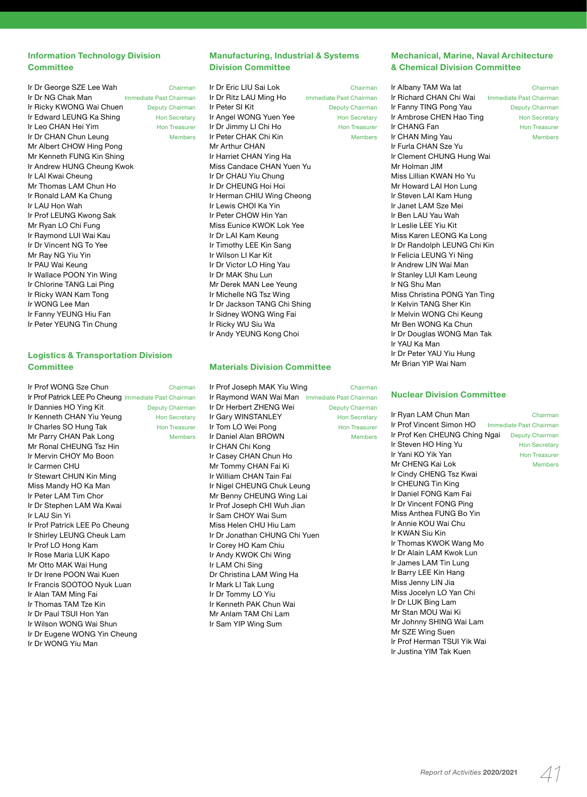### **Information Technology Division Committee**

| Ir Dr George SZE Lee Wah   | Chairman                |
|----------------------------|-------------------------|
| Ir Dr NG Chak Man          | Immediate Past Chairman |
| Ir Ricky KWONG Wai Chuen   | <b>Deputy Chairman</b>  |
| Ir Edward LEUNG Ka Shing   | <b>Hon Secretary</b>    |
| Ir Leo CHAN Hei Yim        | <b>Hon Treasurer</b>    |
| Ir Dr CHAN Chun Leung      | <b>Members</b>          |
| Mr Albert CHOW Hing Pong   |                         |
| Mr Kenneth FUNG Kin Shing  |                         |
| Ir Andrew HUNG Cheung Kwok |                         |
| Ir LAI Kwai Cheung         |                         |
| Mr Thomas LAM Chun Ho      |                         |
| Ir Ronald LAM Ka Chung     |                         |
| Ir LAU Hon Wah             |                         |
| Ir Prof LEUNG Kwong Sak    |                         |
| Mr Ryan LO Chi Fung        |                         |
| Ir Raymond LUI Wai Kau     |                         |
| Ir Dr Vincent NG To Yee    |                         |
| Mr Ray NG Yiu Yin          |                         |
| Ir PAU Wai Keung           |                         |
| Ir Wallace POON Yin Wing   |                         |
| Ir Chlorine TANG Lai Ping  |                         |
| Ir Ricky WAN Kam Tong      |                         |
| Ir WONG Lee Man            |                         |
| Ir Fanny YEUNG Hiu Fan     |                         |
| Ir Peter YEUNG Tin Chung   |                         |
|                            |                         |

### **Logistics & Transportation Division Committee**

| Ir Prof WONG Sze Chun                                 | Chairman             |
|-------------------------------------------------------|----------------------|
| Ir Prof Patrick LEE Po Cheung Immediate Past Chairman |                      |
| Ir Dannies HO Ying Kit                                | Deputy Chairman      |
| Ir Kenneth CHAN Yiu Yeung                             | <b>Hon Secretary</b> |
| Ir Charles SO Hung Tak                                | <b>Hon Treasurer</b> |
| Mr Parry CHAN Pak Long                                | <b>Members</b>       |
| Mr Ronal CHEUNG Tsz Hin                               |                      |
| Ir Mervin CHOY Mo Boon                                |                      |
| Ir Carmen CHU                                         |                      |
| Ir Stewart CHUN Kin Ming                              |                      |
| Miss Mandy HO Ka Man                                  |                      |
| Ir Peter LAM Tim Chor                                 |                      |
| Ir Dr Stephen LAM Wa Kwai                             |                      |
| Ir LAU Sin Yi                                         |                      |
| Ir Prof Patrick LEE Po Cheung                         |                      |
| Ir Shirley LEUNG Cheuk Lam                            |                      |
| Ir Prof LO Hong Kam                                   |                      |
| Ir Rose Maria LUK Kapo                                |                      |
| Mr Otto MAK Wai Hung                                  |                      |
| Ir Dr Irene POON Wai Kuen                             |                      |
| Ir Francis SOOTOO Nyuk Luan                           |                      |
| Ir Alan TAM Ming Fai                                  |                      |
| Ir Thomas TAM Tze Kin                                 |                      |
| Ir Dr Paul TSUI Hon Yan                               |                      |
| Ir Wilson WONG Wai Shun                               |                      |
| Ir Dr Eugene WONG Yin Cheung                          |                      |

Ir Dr WONG Yiu Man

### **Manufacturing, Industrial & Systems Division Committee**

Ir Dr Eric LIU Sai Lok Chairman **Ir Dr Ritz LAU Ming Ho** Immediate Past Chairman<br>**Ir Peter SI Kit** Deputy Chairman Deputy Chairman Ir Angel WONG Yuen Yee Hon Secretary Ir Dr Jimmy LI Chi Ho **Hon Treasurer** Ir Peter CHAK Chi Kin Members Mr Arthur CHAN Ir Harriet CHAN Ying Ha Miss Candace CHAN Yuen Yu Ir Dr CHAU Yiu Chung Ir Dr CHEUNG Hoi Hoi Ir Herman CHIU Wing Cheong Ir Lewis CHOI Ka Yin Ir Peter CHOW Hin Yan Miss Eunice KWOK Lok Yee Ir Dr LAI Kam Keung Ir Timothy LEE Kin Sang Ir Wilson LI Kar Kit Ir Dr Victor LO Hing Yau Ir Dr MAK Shu Lun Mr Derek MAN Lee Yeung Ir Michelle NG Tsz Wing Ir Dr Jackson TANG Chi Shing Ir Sidney WONG Wing Fai Ir Ricky WU Siu Wa Ir Andy YEUNG Kong Choi

#### **Materials Division Committee**

Ir Prof Joseph MAK Yiu Wing Chairman Ir Raymond WAN Wai Man Immediate Past Chairman Ir Dr Herbert ZHENG Wei Deputy Chairman Ir Gary WINSTANLEY Hon Secretary **Ir Tom LO Wei Pong Hon Treasurer<br>Ir Daniel Alan BBOWN Members** Ir Daniel Alan BROWN Ir CHAN Chi Kong Ir Casey CHAN Chun Ho Mr Tommy CHAN Fai Ki Ir William CHAN Tain Fai Ir Nigel CHEUNG Chuk Leung Mr Benny CHEUNG Wing Lai Ir Prof Joseph CHI Wuh Jian Ir Sam CHOY Wai Sum Miss Helen CHU Hiu Lam Ir Dr Jonathan CHUNG Chi Yuen Ir Corey HO Kam Chiu Ir Andy KWOK Chi Wing Ir LAM Chi Sing Dr Christina LAM Wing Ha Ir Mark LI Tak Lung Ir Dr Tommy LO Yiu Ir Kenneth PAK Chun Wai Mr Anlam TAM Chi Lam Ir Sam YIP Wing Sum

### **Mechanical, Marine, Naval Architecture & Chemical Division Committee**

Ir Albany TAM Wa lat Chairman Ir Richard CHAN Chi Wai Immediate Past Chairman Ir Fanny TING Pong Yau Deputy Chairman Ir Ambrose CHEN Hao Ting Hon Secretary Ir CHANG Fan **Hon Treasurer** Ir CHAN Ming Yau **Members** Ir Furla CHAN Sze Yu Ir Clement CHUNG Hung Wai Mr Holman JIM Miss Lillian KWAN Ho Yu Mr Howard LAI Hon Lung Ir Steven LAI Kam Hung Ir Janet LAM Sze Mei Ir Ben LAU Yau Wah Ir Leslie LEE Yiu Kit Miss Karen LEONG Ka Long Ir Dr Randolph LEUNG Chi Kin Ir Felicia LEUNG Yi Ning Ir Andrew LIN Wai Man Ir Stanley LUI Kam Leung Ir NG Shu Man Miss Christina PONG Yan Ting Ir Kelvin TANG Sher Kin Ir Melvin WONG Chi Keung Mr Ben WONG Ka Chun Ir Dr Douglas WONG Man Tak Ir YAU Ka Man Ir Dr Peter YAU Yiu Hung Mr Brian YIP Wai Nam

#### **Nuclear Division Committee**

Ir Ryan LAM Chun Man Chairman Ir Prof Vincent Simon HO Immediate Past Chairman Ir Prof Ken CHEUNG Ching Ngai Deputy Chairman **Ir Steven HO Hing Yu** Hon Secretary<br> **Ir Yani KO Yik Yan**<br>
Hon Treasurer Ir Yani KO Yik Yan Mr CHENG Kai Lok Members Ir Cindy CHENG Tsz Kwai Ir CHEUNG Tin King Ir Daniel FONG Kam Fai Ir Dr Vincent FONG Ping Miss Anthea FUNG Bo Yin Ir Annie KOU Wai Chu Ir KWAN Siu Kin Ir Thomas KWOK Wang Mo Ir Dr Alain LAM Kwok Lun Ir James LAM Tin Lung Ir Barry LEE Kin Hang Miss Jenny LIN Jia Miss Jocelyn LO Yan Chi Ir Dr LUK Bing Lam Mr Stan MOU Wai Ki Mr Johnny SHING Wai Lam Mr SZE Wing Suen Ir Prof Herman TSUI Yik Wai Ir Justina YIM Tak Kuen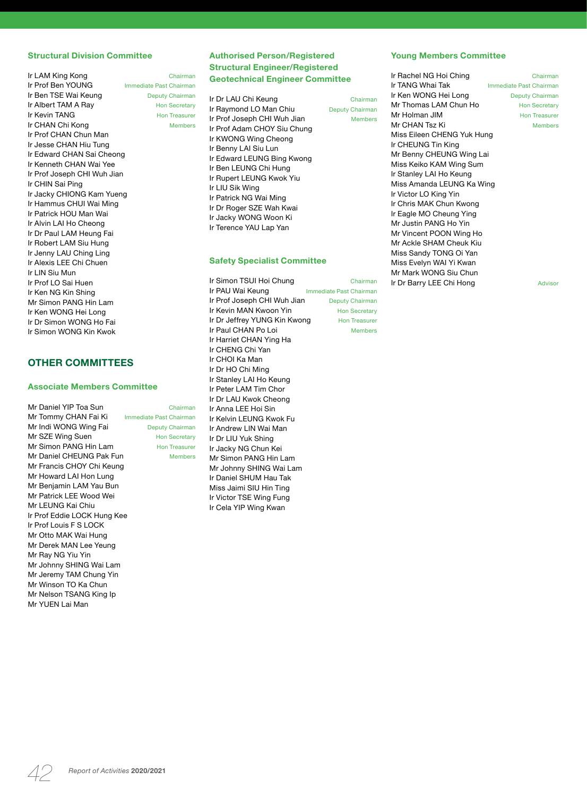#### **Structural Division Committee**

| Ir LAM King Kong            | Chairman                |
|-----------------------------|-------------------------|
| Ir Prof Ben YOUNG           | Immediate Past Chairman |
| Ir Ben TSE Wai Keung        | <b>Deputy Chairman</b>  |
| Ir Albert TAM A Rav         | <b>Hon Secretary</b>    |
| Ir Kevin TANG               | <b>Hon Treasurer</b>    |
| Ir CHAN Chi Kong            | <b>Members</b>          |
| Ir Prof CHAN Chun Man       |                         |
| Ir Jesse CHAN Hiu Tung      |                         |
| Ir Edward CHAN Sai Cheong   |                         |
| Ir Kenneth CHAN Wai Yee     |                         |
| Ir Prof Joseph CHI Wuh Jian |                         |
| Ir CHIN Sai Ping            |                         |
| Ir Jacky CHIONG Kam Yueng   |                         |
| Ir Hammus CHUI Wai Ming     |                         |
| Ir Patrick HOU Man Wai      |                         |
| Ir Alvin LAI Ho Cheong      |                         |
| Ir Dr Paul LAM Heung Fai    |                         |
| Ir Robert LAM Siu Hung      |                         |
| Ir Jenny LAU Ching Ling     |                         |
| Ir Alexis LEE Chi Chuen     |                         |
| Ir LIN Siu Mun              |                         |
| Ir Prof LO Sai Huen         |                         |
| Ir Ken NG Kin Shing         |                         |
| Mr Simon PANG Hin Lam       |                         |
| Ir Ken WONG Hei Long        |                         |
| Ir Dr Simon WONG Ho Fai     |                         |
| Ir Simon WONG Kin Kwok      |                         |

### **OTHER COMMITTEES**

#### **Associate Members Committee**

| Chairman                                   |
|--------------------------------------------|
| Immediate Past Chairman                    |
| Deputy Chairman                            |
| <b>Hon Secretary</b>                       |
| <b>Hon Treasurer</b>                       |
| Mr Daniel CHEUNG Pak Fun<br><b>Members</b> |
| Mr Francis CHOY Chi Keung                  |
|                                            |
|                                            |
|                                            |
|                                            |
| Ir Prof Eddie LOCK Hung Kee                |
|                                            |
|                                            |
|                                            |
|                                            |
|                                            |
|                                            |
|                                            |
|                                            |
|                                            |
|                                            |

**Authorised Person/Registered Structural Engineer/Registered Geotechnical Engineer Committee**

**Ir Dr LAU Chi Keung**<br> **Ir Raymond LO Man Chiu**<br>
Deputy Chairman Ir Raymond LO Man Chiu Ir Prof Joseph CHI Wuh Jian Members Ir Prof Adam CHOY Siu Chung Ir KWONG Wing Cheong Ir Benny LAI Siu Lun Ir Edward LEUNG Bing Kwong Ir Ben LEUNG Chi Hung Ir Rupert LEUNG Kwok Yiu Ir LIU Sik Wing Ir Patrick NG Wai Ming Ir Dr Roger SZE Wah Kwai Ir Jacky WONG Woon Ki Ir Terence YAU Lap Yan

#### **Safety Specialist Committee**

Ir Simon TSUI Hoi Chung Chairman Ir PAU Wai Keung **Immediate Past Chairman** Ir Prof Joseph CHI Wuh Jian Deputy Chairman Ir Kevin MAN Kwoon Yin Hon Secretary Ir Dr Jeffrey YUNG Kin Kwong Hon Treasurer Ir Paul CHAN Po Loi Members Ir Harriet CHAN Ying Ha Ir CHENG Chi Yan Ir CHOI Ka Man Ir Dr HO Chi Ming Ir Stanley LAI Ho Keung Ir Peter LAM Tim Chor Ir Dr LAU Kwok Cheong Ir Anna LEE Hoi Sin Ir Kelvin LEUNG Kwok Fu Ir Andrew LIN Wai Man Ir Dr LIU Yuk Shing Ir Jacky NG Chun Kei Mr Simon PANG Hin Lam Mr Johnny SHING Wai Lam Ir Daniel SHUM Hau Tak Miss Jaimi SIU Hin Ting Ir Victor TSE Wing Fung Ir Cela YIP Wing Kwan

Chairman

#### **Young Members Committee**

**Ir Rachel NG Hoi Ching** Chairman<br>**Ir TANG Whai Tak** Immediate Past Chairman Ir Ken WONG Hei Long Deputy Chairman Mr Thomas LAM Chun Ho<br>Mr Holman JIM Hon Treasurer Mr Holman JIM Mr CHAN Tsz Ki Members Miss Eileen CHENG Yuk Hung Ir CHEUNG Tin King Mr Benny CHEUNG Wing Lai Miss Keiko KAM Wing Sum Ir Stanley LAI Ho Keung Miss Amanda LEUNG Ka Wing Ir Victor LO King Yin Ir Chris MAK Chun Kwong Ir Eagle MO Cheung Ying Mr Justin PANG Ho Yin Mr Vincent POON Wing Ho Mr Ackle SHAM Cheuk Kiu Miss Sandy TONG Oi Yan Miss Evelyn WAI Yi Kwan Mr Mark WONG Siu Chun Ir Dr Barry LEE Chi Hong Advisor

Immediate Past Chairman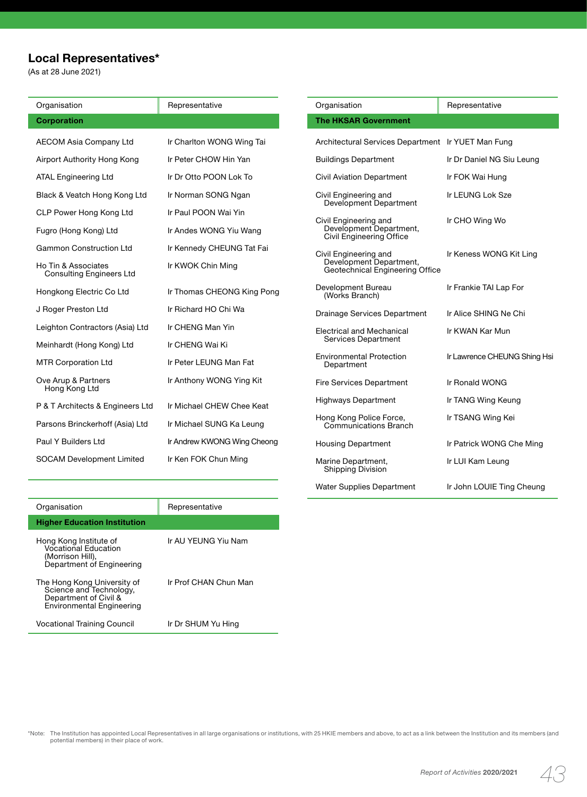# **Local Representatives\***

(As at 28 June 2021)

| Organisation                                           | Representative              |
|--------------------------------------------------------|-----------------------------|
| <b>Corporation</b>                                     |                             |
| <b>AECOM Asia Company Ltd</b>                          | Ir Charlton WONG Wing Tai   |
| Airport Authority Hong Kong                            | Ir Peter CHOW Hin Yan       |
| <b>ATAL Engineering Ltd</b>                            | Ir Dr Otto POON Lok To      |
| Black & Veatch Hong Kong Ltd                           | Ir Norman SONG Ngan         |
| CLP Power Hong Kong Ltd                                | Ir Paul POON Wai Yin        |
| Fugro (Hong Kong) Ltd                                  | Ir Andes WONG Yiu Wang      |
| <b>Gammon Construction Ltd</b>                         | Ir Kennedy CHEUNG Tat Fai   |
| Ho Tin & Associates<br><b>Consulting Engineers Ltd</b> | Ir KWOK Chin Ming           |
| Hongkong Electric Co Ltd                               | Ir Thomas CHEONG King Pong  |
| J Roger Preston Ltd                                    | Ir Richard HO Chi Wa        |
| Leighton Contractors (Asia) Ltd                        | Ir CHENG Man Yin            |
| Meinhardt (Hong Kong) Ltd                              | Ir CHENG Wai Ki             |
| <b>MTR Corporation Ltd</b>                             | Ir Peter LEUNG Man Fat      |
| Ove Arup & Partners<br>Hong Kong Ltd                   | Ir Anthony WONG Ying Kit    |
| P & T Architects & Engineers Ltd                       | Ir Michael CHEW Chee Keat   |
| Parsons Brinckerhoff (Asia) Ltd                        | Ir Michael SUNG Ka Leung    |
| Paul Y Builders Ltd                                    | Ir Andrew KWONG Wing Cheong |
| <b>SOCAM Development Limited</b>                       | Ir Ken FOK Chun Ming        |

| Organisation                                                                        | Representative               |  |
|-------------------------------------------------------------------------------------|------------------------------|--|
| <b>The HKSAR Government</b>                                                         |                              |  |
| Architectural Services Department Ir YUET Man Fung                                  |                              |  |
| <b>Buildings Department</b>                                                         | Ir Dr Daniel NG Siu Leung    |  |
| <b>Civil Aviation Department</b>                                                    | Ir FOK Wai Hung              |  |
| Civil Engineering and<br>Development Department                                     | Ir LEUNG Lok Sze             |  |
| Civil Engineering and<br>Development Department,<br>Civil Engineering Office        | Ir CHO Wing Wo               |  |
| Civil Engineering and<br>Development Department,<br>Geotechnical Engineering Office | Ir Keness WONG Kit Ling      |  |
| Development Bureau<br>(Works Branch)                                                | Ir Frankie TAI Lap For       |  |
| <b>Drainage Services Department</b>                                                 | Ir Alice SHING Ne Chi        |  |
| <b>Electrical and Mechanical</b><br>Services Department                             | Ir KWAN Kar Mun              |  |
| <b>Environmental Protection</b><br>Department                                       | Ir Lawrence CHEUNG Shing Hsi |  |
| <b>Fire Services Department</b>                                                     | Ir Ronald WONG               |  |
| Highways Department                                                                 | Ir TANG Wing Keung           |  |
| Hong Kong Police Force,<br>Communications Branch                                    | Ir TSANG Wing Kei            |  |
| <b>Housing Department</b>                                                           | Ir Patrick WONG Che Ming     |  |
| Marine Department,<br>Shipping Division                                             | Ir LUI Kam Leung             |  |
| <b>Water Supplies Department</b>                                                    | Ir John LOUIE Ting Cheung    |  |

| Organisation                                                                                                        | Representative        |
|---------------------------------------------------------------------------------------------------------------------|-----------------------|
| <b>Higher Education Institution</b>                                                                                 |                       |
| Hong Kong Institute of<br>Vocational Education<br>(Morrison Hill),<br>Department of Engineering                     | Ir AU YEUNG Yiu Nam   |
| The Hong Kong University of<br>Science and Technology,<br>Department of Civil &<br><b>Environmental Engineering</b> | Ir Prof CHAN Chun Man |
| Vocational Training Council                                                                                         | Ir Dr SHUM Yu Hing    |

Note: The Institution has appointed Local Representatives in all large organisations or institutions, with 25 HKIE members and above, to act as a link between the Institution and its members (and potential members) in thei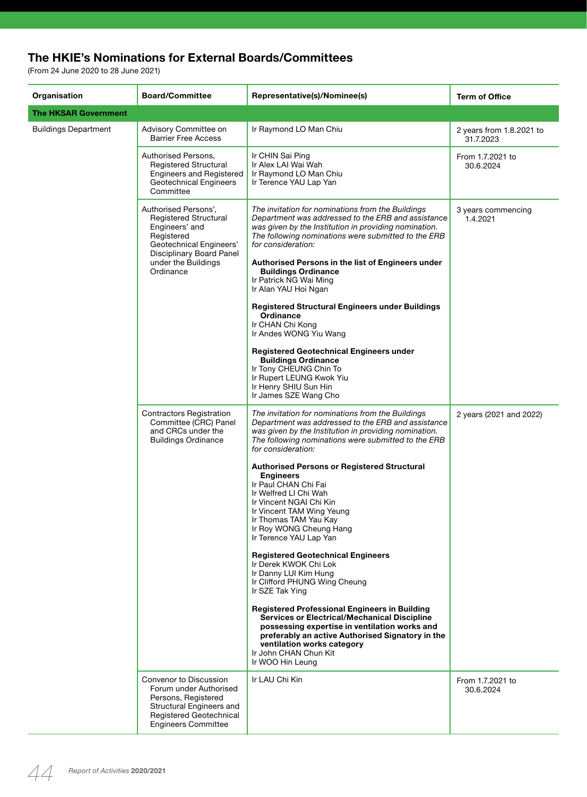# **The HKIE's Nominations for External Boards/Committees**

(From 24 June 2020 to 28 June 2021)

L.

| Organisation         | <b>Board/Committee</b>                                                                                                                                                          | Representative(s)/Nominee(s)                                                                                                                                                                                                                                                                                                                                                                                                                                                                                                                                                                                                                                                                                                                                                                                                                                                                                                                                    | <b>Term of Office</b>                 |
|----------------------|---------------------------------------------------------------------------------------------------------------------------------------------------------------------------------|-----------------------------------------------------------------------------------------------------------------------------------------------------------------------------------------------------------------------------------------------------------------------------------------------------------------------------------------------------------------------------------------------------------------------------------------------------------------------------------------------------------------------------------------------------------------------------------------------------------------------------------------------------------------------------------------------------------------------------------------------------------------------------------------------------------------------------------------------------------------------------------------------------------------------------------------------------------------|---------------------------------------|
| The HKSAR Government |                                                                                                                                                                                 |                                                                                                                                                                                                                                                                                                                                                                                                                                                                                                                                                                                                                                                                                                                                                                                                                                                                                                                                                                 |                                       |
| Buildings Department | Advisory Committee on<br><b>Barrier Free Access</b>                                                                                                                             | Ir Raymond LO Man Chiu                                                                                                                                                                                                                                                                                                                                                                                                                                                                                                                                                                                                                                                                                                                                                                                                                                                                                                                                          | 2 years from 1.8.2021 to<br>31.7.2023 |
|                      | Authorised Persons,<br>Registered Structural<br><b>Engineers and Registered</b><br><b>Geotechnical Engineers</b><br>Committee                                                   | Ir CHIN Sai Ping<br>Ir Alex LAI Wai Wah<br>Ir Raymond LO Man Chiu<br>Ir Terence YAU Lap Yan                                                                                                                                                                                                                                                                                                                                                                                                                                                                                                                                                                                                                                                                                                                                                                                                                                                                     | From 1.7.2021 to<br>30.6.2024         |
|                      | Authorised Persons',<br><b>Registered Structural</b><br>Engineers' and<br>Registered<br>Geotechnical Engineers'<br>Disciplinary Board Panel<br>under the Buildings<br>Ordinance | The invitation for nominations from the Buildings<br>Department was addressed to the ERB and assistance<br>was given by the Institution in providing nomination.<br>The following nominations were submitted to the ERB<br>for consideration:<br>Authorised Persons in the list of Engineers under<br><b>Buildings Ordinance</b><br>Ir Patrick NG Wai Ming<br>Ir Alan YAU Hoi Ngan<br><b>Registered Structural Engineers under Buildings</b><br>Ordinance<br>Ir CHAN Chi Kong<br>Ir Andes WONG Yiu Wang<br><b>Registered Geotechnical Engineers under</b><br><b>Buildings Ordinance</b>                                                                                                                                                                                                                                                                                                                                                                         | 3 years commencing<br>1.4.2021        |
|                      |                                                                                                                                                                                 | Ir Tony CHEUNG Chin To<br>Ir Rupert LEUNG Kwok Yiu<br>Ir Henry SHIU Sun Hin<br>Ir James SZE Wang Cho                                                                                                                                                                                                                                                                                                                                                                                                                                                                                                                                                                                                                                                                                                                                                                                                                                                            |                                       |
|                      | <b>Contractors Registration</b><br>Committee (CRC) Panel<br>and CRCs under the<br><b>Buildings Ordinance</b>                                                                    | The invitation for nominations from the Buildings<br>Department was addressed to the ERB and assistance<br>was given by the Institution in providing nomination.<br>The following nominations were submitted to the ERB<br>for consideration:<br><b>Authorised Persons or Registered Structural</b><br><b>Engineers</b><br>Ir Paul CHAN Chi Fai<br>Ir Welfred LI Chi Wah<br>Ir Vincent NGAI Chi Kin<br>Ir Vincent TAM Wing Yeung<br>Ir Thomas TAM Yau Kay<br>Ir Roy WONG Cheung Hang<br>Ir Terence YAU Lap Yan<br><b>Registered Geotechnical Engineers</b><br>Ir Derek KWOK Chi Lok<br>Ir Danny LUI Kim Hung<br>Ir Clifford PHUNG Wing Cheung<br>Ir SZE Tak Ying<br><b>Registered Professional Engineers in Building</b><br><b>Services or Electrical/Mechanical Discipline</b><br>possessing expertise in ventilation works and<br>preferably an active Authorised Signatory in the<br>ventilation works category<br>Ir John CHAN Chun Kit<br>Ir WOO Hin Leung | 2 years (2021 and 2022)               |
|                      | Convenor to Discussion<br>Forum under Authorised<br>Persons, Registered<br>Structural Engineers and<br>Registered Geotechnical<br><b>Engineers Committee</b>                    | Ir LAU Chi Kin                                                                                                                                                                                                                                                                                                                                                                                                                                                                                                                                                                                                                                                                                                                                                                                                                                                                                                                                                  | From 1.7.2021 to<br>30.6.2024         |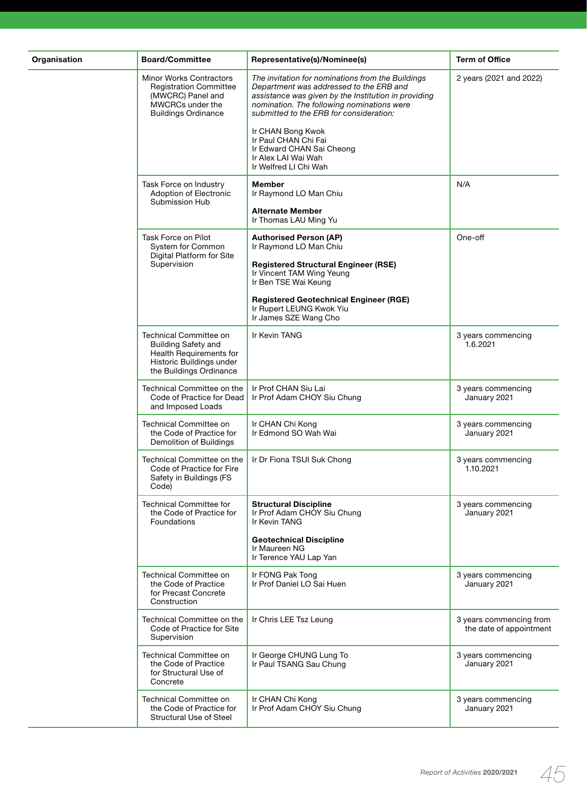| Organisation | <b>Board/Committee</b>                                                                                                                 | Representative(s)/Nominee(s)                                                                                                                                                                                                                  | <b>Term of Office</b>                              |
|--------------|----------------------------------------------------------------------------------------------------------------------------------------|-----------------------------------------------------------------------------------------------------------------------------------------------------------------------------------------------------------------------------------------------|----------------------------------------------------|
|              | <b>Minor Works Contractors</b><br><b>Registration Committee</b><br>(MWCRC) Panel and<br>MWCRCs under the<br><b>Buildings Ordinance</b> | The invitation for nominations from the Buildings<br>Department was addressed to the ERB and<br>assistance was given by the Institution in providing<br>nomination. The following nominations were<br>submitted to the ERB for consideration: | 2 years (2021 and 2022)                            |
|              |                                                                                                                                        | Ir CHAN Bong Kwok<br>Ir Paul CHAN Chi Fai<br>Ir Edward CHAN Sai Cheong<br>Ir Alex LAI Wai Wah<br>Ir Welfred LI Chi Wah                                                                                                                        |                                                    |
|              | Task Force on Industry<br>Adoption of Electronic<br>Submission Hub                                                                     | <b>Member</b><br>Ir Raymond LO Man Chiu                                                                                                                                                                                                       | N/A                                                |
|              |                                                                                                                                        | <b>Alternate Member</b><br>Ir Thomas LAU Ming Yu                                                                                                                                                                                              |                                                    |
|              | Task Force on Pilot<br>System for Common<br>Digital Platform for Site                                                                  | <b>Authorised Person (AP)</b><br>Ir Raymond LO Man Chiu                                                                                                                                                                                       | One-off                                            |
|              | Supervision                                                                                                                            | <b>Registered Structural Engineer (RSE)</b><br>Ir Vincent TAM Wing Yeung<br>Ir Ben TSE Wai Keung                                                                                                                                              |                                                    |
|              |                                                                                                                                        | <b>Registered Geotechnical Engineer (RGE)</b><br>Ir Rupert LEUNG Kwok Yiu<br>Ir James SZE Wang Cho                                                                                                                                            |                                                    |
|              | Technical Committee on<br><b>Building Safety and</b><br>Health Requirements for<br>Historic Buildings under<br>the Buildings Ordinance | Ir Kevin TANG                                                                                                                                                                                                                                 | 3 years commencing<br>1.6.2021                     |
|              | Technical Committee on the<br>Code of Practice for Dead<br>and Imposed Loads                                                           | Ir Prof CHAN Siu Lai<br>Ir Prof Adam CHOY Siu Chung                                                                                                                                                                                           | 3 years commencing<br>January 2021                 |
|              | Technical Committee on<br>the Code of Practice for<br>Demolition of Buildings                                                          | Ir CHAN Chi Kong<br>Ir Edmond SO Wah Wai                                                                                                                                                                                                      | 3 years commencing<br>January 2021                 |
|              | Technical Committee on the<br>Code of Practice for Fire<br>Safety in Buildings (FS<br>Code)                                            | Ir Dr Fiona TSUI Suk Chong                                                                                                                                                                                                                    | 3 years commencing<br>1.10.2021                    |
|              | <b>Technical Committee for</b><br>the Code of Practice for<br>Foundations                                                              | <b>Structural Discipline</b><br>Ir Prof Adam CHOY Siu Chung<br>Ir Kevin TANG                                                                                                                                                                  | 3 years commencing<br>January 2021                 |
|              |                                                                                                                                        | <b>Geotechnical Discipline</b><br>Ir Maureen NG<br>Ir Terence YAU Lap Yan                                                                                                                                                                     |                                                    |
|              | Technical Committee on<br>the Code of Practice<br>for Precast Concrete<br>Construction                                                 | Ir FONG Pak Tong<br>Ir Prof Daniel LO Sai Huen                                                                                                                                                                                                | 3 years commencing<br>January 2021                 |
|              | Technical Committee on the<br>Code of Practice for Site<br>Supervision                                                                 | Ir Chris LEE Tsz Leung                                                                                                                                                                                                                        | 3 years commencing from<br>the date of appointment |
|              | Technical Committee on<br>the Code of Practice<br>for Structural Use of<br>Concrete                                                    | Ir George CHUNG Lung To<br>Ir Paul TSANG Sau Chung                                                                                                                                                                                            | 3 years commencing<br>January 2021                 |
|              | Technical Committee on<br>the Code of Practice for<br><b>Structural Use of Steel</b>                                                   | Ir CHAN Chi Kong<br>Ir Prof Adam CHOY Siu Chung                                                                                                                                                                                               | 3 years commencing<br>January 2021                 |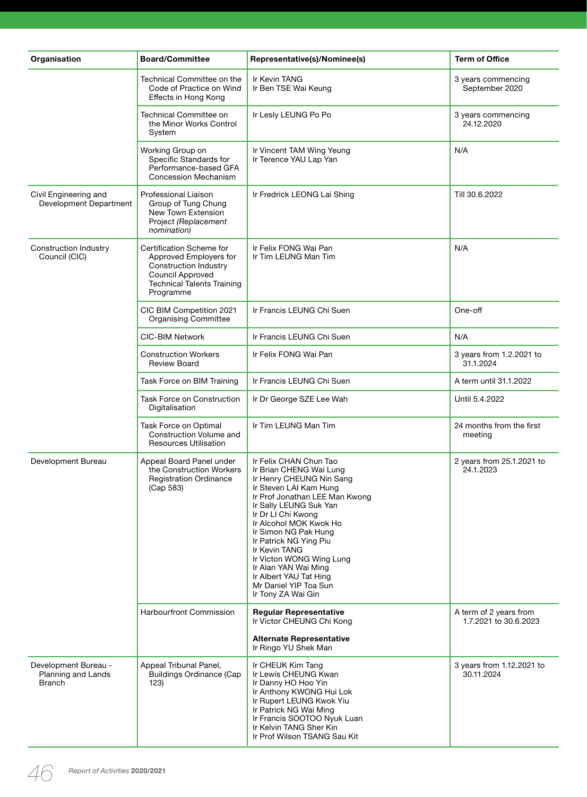| Organisation                                                | <b>Board/Committee</b>                                                                                                                                   | Representative(s)/Nominee(s)                                                                                                                                                                                                                                                                                                                                                                                        | <b>Term of Office</b>                           |
|-------------------------------------------------------------|----------------------------------------------------------------------------------------------------------------------------------------------------------|---------------------------------------------------------------------------------------------------------------------------------------------------------------------------------------------------------------------------------------------------------------------------------------------------------------------------------------------------------------------------------------------------------------------|-------------------------------------------------|
|                                                             | Technical Committee on the<br>Code of Practice on Wind<br>Effects in Hong Kong                                                                           | Ir Kevin TANG<br>Ir Ben TSE Wai Keung                                                                                                                                                                                                                                                                                                                                                                               | 3 years commencing<br>September 2020            |
|                                                             | <b>Technical Committee on</b><br>the Minor Works Control<br>System                                                                                       | Ir Lesly LEUNG Po Po                                                                                                                                                                                                                                                                                                                                                                                                | 3 years commencing<br>24.12.2020                |
|                                                             | Working Group on<br>Specific Standards for<br>Performance-based GFA<br>Concession Mechanism                                                              | Ir Vincent TAM Wing Yeung<br>Ir Terence YAU Lap Yan                                                                                                                                                                                                                                                                                                                                                                 | N/A                                             |
| Civil Engineering and<br>Development Department             | Professional Liaison<br>Group of Tung Chung<br>New Town Extension<br>Project (Replacement<br>nomination)                                                 | Ir Fredrick LEONG Lai Shing                                                                                                                                                                                                                                                                                                                                                                                         | Till 30.6.2022                                  |
| Construction Industry<br>Council (CIC)                      | Certification Scheme for<br>Approved Employers for<br><b>Construction Industry</b><br>Council Approved<br><b>Technical Talents Training</b><br>Programme | Ir Felix FONG Wai Pan<br>Ir Tim LEUNG Man Tim                                                                                                                                                                                                                                                                                                                                                                       | N/A                                             |
|                                                             | CIC BIM Competition 2021<br><b>Organising Committee</b>                                                                                                  | Ir Francis LEUNG Chi Suen                                                                                                                                                                                                                                                                                                                                                                                           | One-off                                         |
|                                                             | <b>CIC-BIM Network</b>                                                                                                                                   | Ir Francis LEUNG Chi Suen                                                                                                                                                                                                                                                                                                                                                                                           | N/A                                             |
|                                                             | <b>Construction Workers</b><br><b>Review Board</b>                                                                                                       | Ir Felix FONG Wai Pan                                                                                                                                                                                                                                                                                                                                                                                               | 3 years from 1.2.2021 to<br>31.1.2024           |
|                                                             | Task Force on BIM Training                                                                                                                               | Ir Francis LEUNG Chi Suen                                                                                                                                                                                                                                                                                                                                                                                           | A term until 31.1.2022                          |
|                                                             | <b>Task Force on Construction</b><br>Digitalisation                                                                                                      | Ir Dr George SZE Lee Wah                                                                                                                                                                                                                                                                                                                                                                                            | Until 5.4.2022                                  |
|                                                             | Task Force on Optimal<br>Construction Volume and<br><b>Resources Utilisation</b>                                                                         | Ir Tim LEUNG Man Tim                                                                                                                                                                                                                                                                                                                                                                                                | 24 months from the first<br>meeting             |
| Development Bureau                                          | Appeal Board Panel under<br>the Construction Workers<br><b>Registration Ordinance</b><br>(Cap 583)                                                       | Ir Felix CHAN Chun Tao<br>Ir Brian CHENG Wai Lung<br>Ir Henry CHEUNG Nin Sang<br>Ir Steven LAI Kam Hung<br>Ir Prof Jonathan LEE Man Kwong<br>Ir Sally LEUNG Suk Yan<br>Ir Dr Ll Chi Kwong<br>Ir Alcohol MOK Kwok Ho<br>Ir Simon NG Pak Hung<br>Ir Patrick NG Ying Piu<br>Ir Kevin TANG<br>Ir Victon WONG Wing Lung<br>Ir Alan YAN Wai Ming<br>Ir Albert YAU Tat Hing<br>Mr Daniel YIP Toa Sun<br>Ir Tony ZA Wai Gin | 2 years from 25.1.2021 to<br>24.1.2023          |
|                                                             | <b>Harbourfront Commission</b>                                                                                                                           | <b>Regular Representative</b><br>Ir Victor CHEUNG Chi Kong<br><b>Alternate Representative</b>                                                                                                                                                                                                                                                                                                                       | A term of 2 years from<br>1.7.2021 to 30.6.2023 |
| Development Bureau -<br>Planning and Lands<br><b>Branch</b> | Appeal Tribunal Panel,<br><b>Buildings Ordinance (Cap</b><br>123)                                                                                        | Ir Ringo YU Shek Man<br>Ir CHEUK Kim Tang<br>Ir Lewis CHEUNG Kwan<br>Ir Danny HO Hoo Yin<br>Ir Anthony KWONG Hui Lok<br>Ir Rupert LEUNG Kwok Yiu<br>Ir Patrick NG Wai Ming<br>Ir Francis SOOTOO Nyuk Luan<br>Ir Kelvin TANG Sher Kin<br>Ir Prof Wilson TSANG Sau Kit                                                                                                                                                | 3 years from 1.12.2021 to<br>30.11.2024         |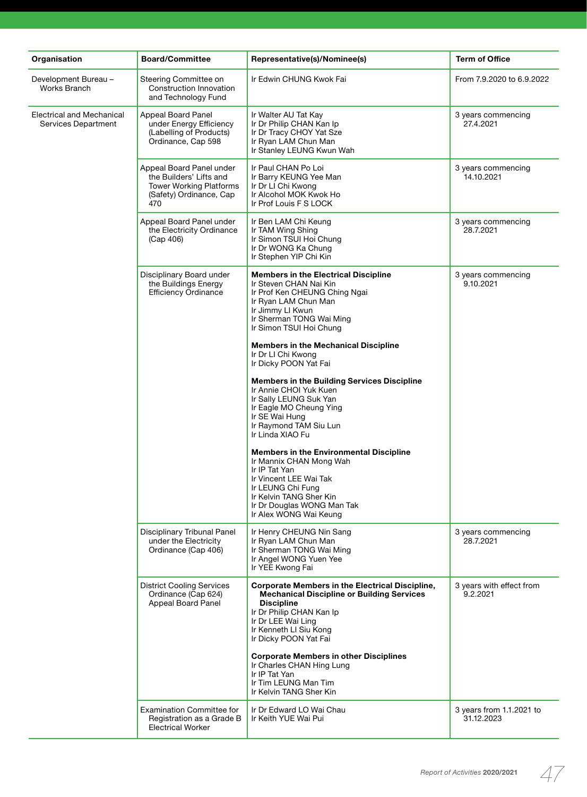| Organisation                                     | <b>Board/Committee</b>                                                                                                  | Representative(s)/Nominee(s)                                                                                                                                                                                                          | <b>Term of Office</b>                  |
|--------------------------------------------------|-------------------------------------------------------------------------------------------------------------------------|---------------------------------------------------------------------------------------------------------------------------------------------------------------------------------------------------------------------------------------|----------------------------------------|
| Development Bureau -<br>Works Branch             | Steering Committee on<br>Construction Innovation<br>and Technology Fund                                                 | Ir Edwin CHUNG Kwok Fai                                                                                                                                                                                                               | From 7.9.2020 to 6.9.2022              |
| Electrical and Mechanical<br>Services Department | <b>Appeal Board Panel</b><br>under Energy Efficiency<br>(Labelling of Products)<br>Ordinance, Cap 598                   | Ir Walter AU Tat Kay<br>Ir Dr Philip CHAN Kan Ip<br>Ir Dr Tracy CHOY Yat Sze<br>Ir Ryan LAM Chun Man<br>Ir Stanley LEUNG Kwun Wah                                                                                                     | 3 years commencing<br>27.4.2021        |
|                                                  | Appeal Board Panel under<br>the Builders' Lifts and<br><b>Tower Working Platforms</b><br>(Safety) Ordinance, Cap<br>470 | Ir Paul CHAN Po Loi<br>Ir Barry KEUNG Yee Man<br>Ir Dr Ll Chi Kwong<br>Ir Alcohol MOK Kwok Ho<br>Ir Prof Louis F S LOCK                                                                                                               | 3 years commencing<br>14.10.2021       |
|                                                  | Appeal Board Panel under<br>the Electricity Ordinance<br>(Cap 406)                                                      | Ir Ben LAM Chi Keung<br>Ir TAM Wing Shing<br>Ir Simon TSUI Hoi Chung<br>Ir Dr WONG Ka Chung<br>Ir Stephen YIP Chi Kin                                                                                                                 | 3 years commencing<br>28.7.2021        |
|                                                  | Disciplinary Board under<br>the Buildings Energy<br><b>Efficiency Ordinance</b>                                         | <b>Members in the Electrical Discipline</b><br>Ir Steven CHAN Nai Kin<br>Ir Prof Ken CHEUNG Ching Ngai<br>Ir Ryan LAM Chun Man<br>Ir Jimmy LI Kwun<br>Ir Sherman TONG Wai Ming<br>Ir Simon TSUI Hoi Chung                             | 3 years commencing<br>9.10.2021        |
|                                                  |                                                                                                                         | <b>Members in the Mechanical Discipline</b><br>Ir Dr Ll Chi Kwong<br>Ir Dicky POON Yat Fai                                                                                                                                            |                                        |
|                                                  |                                                                                                                         | <b>Members in the Building Services Discipline</b><br>Ir Annie CHOI Yuk Kuen<br>Ir Sally LEUNG Suk Yan<br>Ir Eagle MO Cheung Ying<br>Ir SE Wai Hung<br>Ir Raymond TAM Siu Lun<br>Ir Linda XIAO Fu                                     |                                        |
|                                                  |                                                                                                                         | <b>Members in the Environmental Discipline</b><br>Ir Mannix CHAN Mong Wah<br>Ir IP Tat Yan<br>Ir Vincent LEE Wai Tak<br>Ir LEUNG Chi Fung<br>Ir Kelvin TANG Sher Kin<br>Ir Dr Douglas WONG Man Tak<br>Ir Alex WONG Wai Keung          |                                        |
|                                                  | Disciplinary Tribunal Panel<br>under the Electricity<br>Ordinance (Cap 406)                                             | Ir Henry CHEUNG Nin Sang<br>Ir Ryan LAM Chun Man<br>Ir Sherman TONG Wai Ming<br>Ir Angel WONG Yuen Yee<br>Ir YEE Kwong Fai                                                                                                            | 3 years commencing<br>28.7.2021        |
|                                                  | <b>District Cooling Services</b><br>Ordinance (Cap 624)<br>Appeal Board Panel                                           | <b>Corporate Members in the Electrical Discipline,</b><br><b>Mechanical Discipline or Building Services</b><br><b>Discipline</b><br>Ir Dr Philip CHAN Kan Ip<br>Ir Dr LEE Wai Ling<br>Ir Kenneth LI Siu Kong<br>Ir Dicky POON Yat Fai | 3 years with effect from<br>9.2.2021   |
|                                                  |                                                                                                                         | <b>Corporate Members in other Disciplines</b><br>Ir Charles CHAN Hing Lung<br>Ir IP Tat Yan<br>Ir Tim LEUNG Man Tim<br>Ir Kelvin TANG Sher Kin                                                                                        |                                        |
|                                                  | Examination Committee for<br>Registration as a Grade B<br><b>Electrical Worker</b>                                      | Ir Dr Edward LO Wai Chau<br>Ir Keith YUE Wai Pui                                                                                                                                                                                      | 3 years from 1.1.2021 to<br>31.12.2023 |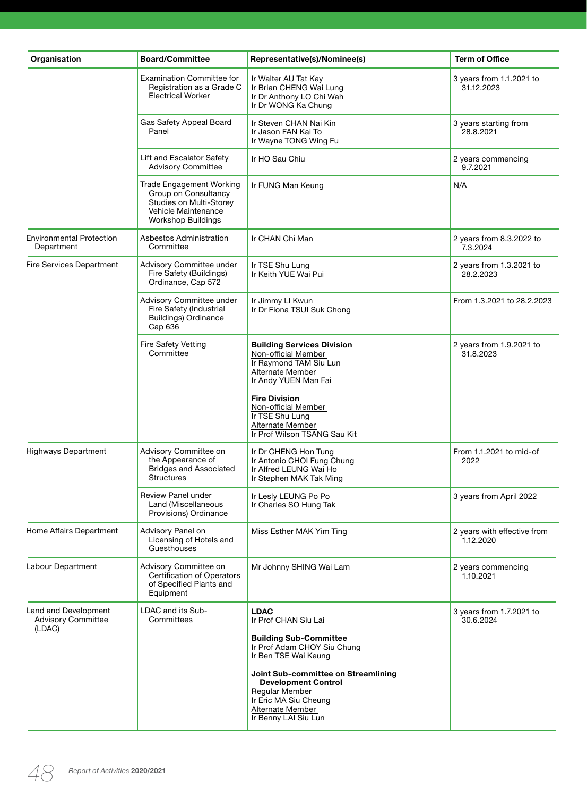| Organisation                                      | <b>Board/Committee</b>                                                                                                          | Representative(s)/Nominee(s)                                                                                                                             | <b>Term of Office</b>                    |
|---------------------------------------------------|---------------------------------------------------------------------------------------------------------------------------------|----------------------------------------------------------------------------------------------------------------------------------------------------------|------------------------------------------|
|                                                   | <b>Examination Committee for</b><br>Registration as a Grade C<br><b>Electrical Worker</b>                                       | Ir Walter AU Tat Kay<br>Ir Brian CHENG Wai Lung<br>Ir Dr Anthony LO Chi Wah<br>Ir Dr WONG Ka Chung                                                       | 3 years from 1.1.2021 to<br>31.12.2023   |
|                                                   | Gas Safety Appeal Board<br>Panel                                                                                                | Ir Steven CHAN Nai Kin<br>Ir Jason FAN Kai To<br>Ir Wayne TONG Wing Fu                                                                                   | 3 years starting from<br>28.8.2021       |
|                                                   | Lift and Escalator Safety<br><b>Advisory Committee</b>                                                                          | Ir HO Sau Chiu                                                                                                                                           | 2 years commencing<br>9.7.2021           |
|                                                   | Trade Engagement Working<br>Group on Consultancy<br>Studies on Multi-Storey<br>Vehicle Maintenance<br><b>Workshop Buildings</b> | Ir FUNG Man Keung                                                                                                                                        | N/A                                      |
| <b>Environmental Protection</b><br>Department     | Asbestos Administration<br>Committee                                                                                            | Ir CHAN Chi Man                                                                                                                                          | 2 years from 8.3.2022 to<br>7.3.2024     |
| Fire Services Department                          | Advisory Committee under<br>Fire Safety (Buildings)<br>Ordinance, Cap 572                                                       | Ir TSE Shu Lung<br>Ir Keith YUE Wai Pui                                                                                                                  | 2 years from 1.3.2021 to<br>28.2.2023    |
|                                                   | Advisory Committee under<br>Fire Safety (Industrial<br><b>Buildings) Ordinance</b><br>Cap 636                                   | Ir Jimmy LI Kwun<br>Ir Dr Fiona TSUI Suk Chong                                                                                                           | From 1.3.2021 to 28.2.2023               |
|                                                   | Fire Safety Vetting<br>Committee                                                                                                | <b>Building Services Division</b><br>Non-official Member<br>Ir Raymond TAM Siu Lun<br>Alternate Member<br>Ir Andy YUEN Man Fai                           | 2 years from 1.9.2021 to<br>31.8.2023    |
|                                                   |                                                                                                                                 | <b>Fire Division</b><br>Non-official Member<br>Ir TSE Shu Lung<br>Alternate Member<br>Ir Prof Wilson TSANG Sau Kit                                       |                                          |
| <b>Highways Department</b>                        | Advisory Committee on<br>the Appearance of<br><b>Bridges and Associated</b><br><b>Structures</b>                                | Ir Dr CHENG Hon Tung<br>Ir Antonio CHOI Fung Chung<br>Ir Alfred LEUNG Wai Ho<br>Ir Stephen MAK Tak Ming                                                  | From 1.1.2021 to mid-of<br>2022          |
|                                                   | Review Panel under<br>Land (Miscellaneous<br>Provisions) Ordinance                                                              | Ir Lesly LEUNG Po Po<br>Ir Charles SO Hung Tak                                                                                                           | 3 years from April 2022                  |
| Home Affairs Department                           | Advisory Panel on<br>Licensing of Hotels and<br>Guesthouses                                                                     | Miss Esther MAK Yim Ting                                                                                                                                 | 2 years with effective from<br>1.12.2020 |
| Labour Department                                 | Advisory Committee on<br><b>Certification of Operators</b><br>of Specified Plants and<br>Equipment                              | Mr Johnny SHING Wai Lam                                                                                                                                  | 2 years commencing<br>1.10.2021          |
| Land and Development<br><b>Advisory Committee</b> | LDAC and its Sub-<br>Committees                                                                                                 | <b>LDAC</b><br>Ir Prof CHAN Siu Lai                                                                                                                      | 3 years from 1.7.2021 to<br>30.6.2024    |
| (LDAC)                                            |                                                                                                                                 | <b>Building Sub-Committee</b><br>Ir Prof Adam CHOY Siu Chung<br>Ir Ben TSE Wai Keung                                                                     |                                          |
|                                                   |                                                                                                                                 | Joint Sub-committee on Streamlining<br><b>Development Control</b><br>Regular Member<br>Ir Eric MA Siu Cheung<br>Alternate Member<br>Ir Benny LAI Siu Lun |                                          |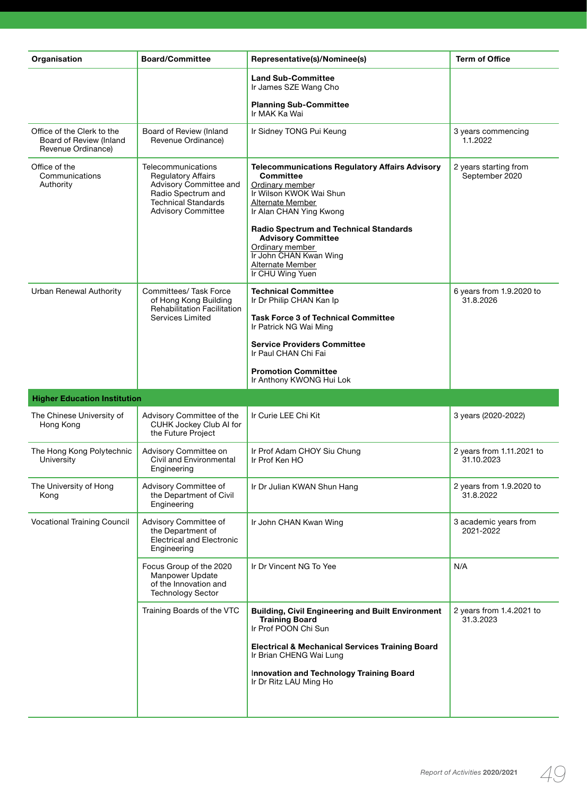| Organisation                                                                | <b>Board/Committee</b>                                                                                                                                     | Representative(s)/Nominee(s)                                                                                                                                                                                                                                                                                                              | <b>Term of Office</b>                   |
|-----------------------------------------------------------------------------|------------------------------------------------------------------------------------------------------------------------------------------------------------|-------------------------------------------------------------------------------------------------------------------------------------------------------------------------------------------------------------------------------------------------------------------------------------------------------------------------------------------|-----------------------------------------|
|                                                                             |                                                                                                                                                            | <b>Land Sub-Committee</b><br>Ir James SZE Wang Cho                                                                                                                                                                                                                                                                                        |                                         |
|                                                                             |                                                                                                                                                            | <b>Planning Sub-Committee</b><br>Ir MAK Ka Wai                                                                                                                                                                                                                                                                                            |                                         |
| Office of the Clerk to the<br>Board of Review (Inland<br>Revenue Ordinance) | Board of Review (Inland<br>Revenue Ordinance)                                                                                                              | Ir Sidney TONG Pui Keung                                                                                                                                                                                                                                                                                                                  | 3 years commencing<br>1.1.2022          |
| Office of the<br>Communications<br>Authority                                | Telecommunications<br><b>Regulatory Affairs</b><br>Advisory Committee and<br>Radio Spectrum and<br><b>Technical Standards</b><br><b>Advisory Committee</b> | <b>Telecommunications Regulatory Affairs Advisory</b><br><b>Committee</b><br>Ordinary member<br>Ir Wilson KWOK Wai Shun<br>Alternate Member<br>Ir Alan CHAN Ying Kwong<br><b>Radio Spectrum and Technical Standards</b><br><b>Advisory Committee</b><br>Ordinary member<br>Ir John CHAN Kwan Wing<br>Alternate Member<br>Ir CHU Wing Yuen | 2 years starting from<br>September 2020 |
| Urban Renewal Authority                                                     | Committees/ Task Force<br>of Hong Kong Building<br><b>Rehabilitation Facilitation</b><br>Services Limited                                                  | <b>Technical Committee</b><br>Ir Dr Philip CHAN Kan Ip<br><b>Task Force 3 of Technical Committee</b><br>Ir Patrick NG Wai Ming<br><b>Service Providers Committee</b><br>Ir Paul CHAN Chi Fai                                                                                                                                              | 6 years from 1.9.2020 to<br>31.8.2026   |
|                                                                             |                                                                                                                                                            | <b>Promotion Committee</b><br>Ir Anthony KWONG Hui Lok                                                                                                                                                                                                                                                                                    |                                         |
| <b>Higher Education Institution</b>                                         |                                                                                                                                                            |                                                                                                                                                                                                                                                                                                                                           |                                         |
|                                                                             |                                                                                                                                                            |                                                                                                                                                                                                                                                                                                                                           |                                         |
| The Chinese University of<br>Hong Kong                                      | Advisory Committee of the<br>CUHK Jockey Club AI for<br>the Future Project                                                                                 | Ir Curie LEE Chi Kit                                                                                                                                                                                                                                                                                                                      | 3 years (2020-2022)                     |
| The Hong Kong Polytechnic<br>University                                     | Advisory Committee on<br>Civil and Environmental<br>Engineering                                                                                            | Ir Prof Adam CHOY Siu Chung<br>Ir Prof Ken HO                                                                                                                                                                                                                                                                                             | 2 years from 1.11.2021 to<br>31.10.2023 |
| The University of Hong<br>Kong                                              | Advisory Committee of<br>the Department of Civil<br>Engineering                                                                                            | Ir Dr Julian KWAN Shun Hang                                                                                                                                                                                                                                                                                                               | 2 years from 1.9.2020 to<br>31.8.2022   |
| <b>Vocational Training Council</b>                                          | Advisory Committee of<br>the Department of<br><b>Electrical and Electronic</b><br>Engineering                                                              | Ir John CHAN Kwan Wing                                                                                                                                                                                                                                                                                                                    | 3 academic years from<br>2021-2022      |
|                                                                             | Focus Group of the 2020<br>Manpower Update<br>of the Innovation and<br><b>Technology Sector</b>                                                            | Ir Dr Vincent NG To Yee                                                                                                                                                                                                                                                                                                                   | N/A                                     |
|                                                                             | Training Boards of the VTC                                                                                                                                 | <b>Building, Civil Engineering and Built Environment</b><br><b>Training Board</b><br>Ir Prof POON Chi Sun                                                                                                                                                                                                                                 | 2 years from 1.4.2021 to<br>31.3.2023   |
|                                                                             |                                                                                                                                                            | <b>Electrical &amp; Mechanical Services Training Board</b><br>Ir Brian CHENG Wai Lung                                                                                                                                                                                                                                                     |                                         |
|                                                                             |                                                                                                                                                            | Innovation and Technology Training Board<br>Ir Dr Ritz LAU Ming Ho                                                                                                                                                                                                                                                                        |                                         |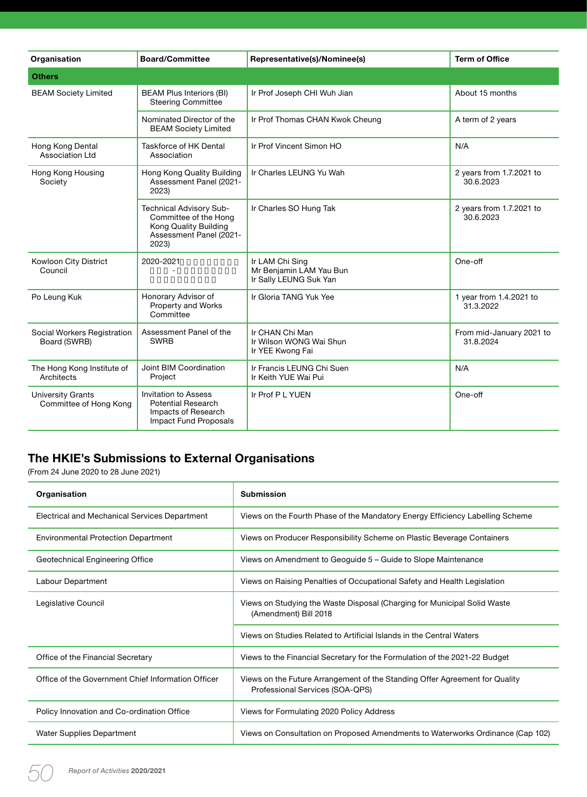| Organisation                                       | <b>Board/Committee</b>                                                                                        | Representative(s)/Nominee(s)                                         | <b>Term of Office</b>                 |
|----------------------------------------------------|---------------------------------------------------------------------------------------------------------------|----------------------------------------------------------------------|---------------------------------------|
| <b>Others</b>                                      |                                                                                                               |                                                                      |                                       |
| <b>BEAM Society Limited</b>                        | <b>BEAM Plus Interiors (BI)</b><br><b>Steering Committee</b>                                                  | Ir Prof Joseph CHI Wuh Jian                                          | About 15 months                       |
|                                                    | Nominated Director of the<br><b>BEAM Society Limited</b>                                                      | Ir Prof Thomas CHAN Kwok Cheung                                      | A term of 2 years                     |
| Hong Kong Dental<br><b>Association Ltd</b>         | Taskforce of HK Dental<br>Association                                                                         | Ir Prof Vincent Simon HO                                             | N/A                                   |
| Hong Kong Housing<br>Society                       | Hong Kong Quality Building<br>Assessment Panel (2021-<br>2023)                                                | Ir Charles LEUNG Yu Wah                                              | 2 years from 1.7.2021 to<br>30.6.2023 |
|                                                    | Technical Advisory Sub-<br>Committee of the Hong<br>Kong Quality Building<br>Assessment Panel (2021-<br>2023) | Ir Charles SO Hung Tak                                               | 2 years from 1.7.2021 to<br>30.6.2023 |
| Kowloon City District<br>Council                   | 2020-2021                                                                                                     | Ir LAM Chi Sing<br>Mr Benjamin LAM Yau Bun<br>Ir Sally LEUNG Suk Yan | One-off                               |
| Po Leung Kuk                                       | Honorary Advisor of<br>Property and Works<br>Committee                                                        | Ir Gloria TANG Yuk Yee                                               | 1 year from 1.4.2021 to<br>31.3.2022  |
| Social Workers Registration<br>Board (SWRB)        | Assessment Panel of the<br><b>SWRB</b>                                                                        | Ir CHAN Chi Man<br>Ir Wilson WONG Wai Shun<br>Ir YEE Kwong Fai       | From mid-January 2021 to<br>31.8.2024 |
| The Hong Kong Institute of<br>Architects           | Joint BIM Coordination<br>Project                                                                             | Ir Francis LEUNG Chi Suen<br>Ir Keith YUE Wai Pui                    | N/A                                   |
| <b>University Grants</b><br>Committee of Hong Kong | Invitation to Assess<br><b>Potential Research</b><br>Impacts of Research<br>Impact Fund Proposals             | Ir Prof P L YUEN                                                     | One-off                               |

# **The HKIE's Submissions to External Organisations**

(From 24 June 2020 to 28 June 2021)

| Organisation                                       | <b>Submission</b>                                                                                              |
|----------------------------------------------------|----------------------------------------------------------------------------------------------------------------|
| Electrical and Mechanical Services Department      | Views on the Fourth Phase of the Mandatory Energy Efficiency Labelling Scheme                                  |
| <b>Environmental Protection Department</b>         | Views on Producer Responsibility Scheme on Plastic Beverage Containers                                         |
| Geotechnical Engineering Office                    | Views on Amendment to Geoguide 5 – Guide to Slope Maintenance                                                  |
| Labour Department                                  | Views on Raising Penalties of Occupational Safety and Health Legislation                                       |
| Legislative Council                                | Views on Studying the Waste Disposal (Charging for Municipal Solid Waste<br>(Amendment) Bill 2018              |
|                                                    | Views on Studies Related to Artificial Islands in the Central Waters                                           |
| Office of the Financial Secretary                  | Views to the Financial Secretary for the Formulation of the 2021-22 Budget                                     |
| Office of the Government Chief Information Officer | Views on the Future Arrangement of the Standing Offer Agreement for Quality<br>Professional Services (SOA-QPS) |
| Policy Innovation and Co-ordination Office         | Views for Formulating 2020 Policy Address                                                                      |
| Water Supplies Department                          | Views on Consultation on Proposed Amendments to Waterworks Ordinance (Cap 102)                                 |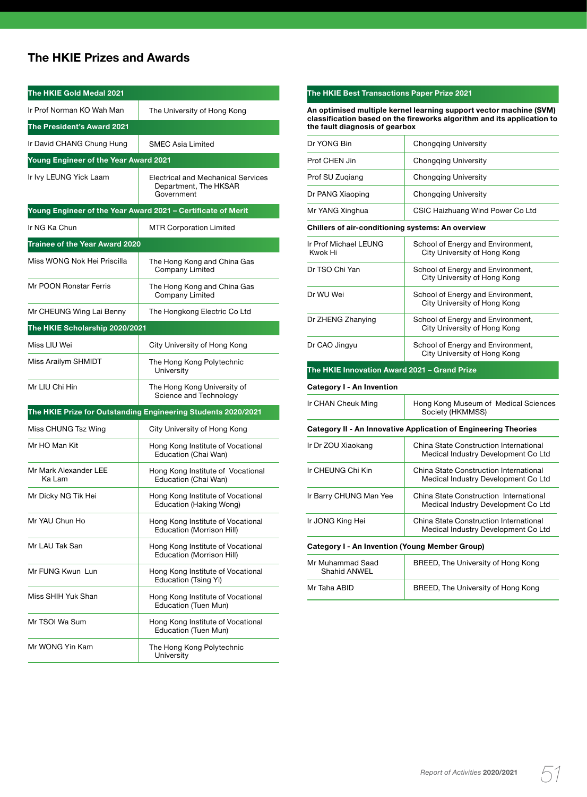# **The HKIE Prizes and Awards**

| The HKIE Gold Medal 2021              |                                                                           |  |  |
|---------------------------------------|---------------------------------------------------------------------------|--|--|
| Ir Prof Norman KO Wah Man             | The University of Hong Kong                                               |  |  |
| The President's Award 2021            |                                                                           |  |  |
| Ir David CHANG Chung Hung             | <b>SMEC Asia Limited</b>                                                  |  |  |
| Young Engineer of the Year Award 2021 |                                                                           |  |  |
| Ir Ivy LEUNG Yick Laam                | Electrical and Mechanical Services<br>Department, The HKSAR<br>Government |  |  |
|                                       | Young Engineer of the Year Award 2021 - Certificate of Merit              |  |  |
| Ir NG Ka Chun                         | <b>MTR Corporation Limited</b>                                            |  |  |
| Trainee of the Year Award 2020        |                                                                           |  |  |
| Miss WONG Nok Hei Priscilla           | The Hong Kong and China Gas<br>Company Limited                            |  |  |
| Mr POON Ronstar Ferris                | The Hong Kong and China Gas<br>Company Limited                            |  |  |
| Mr CHEUNG Wing Lai Benny              | The Hongkong Electric Co Ltd                                              |  |  |
| The HKIE Scholarship 2020/2021        |                                                                           |  |  |
| Miss LIU Wei                          | City University of Hong Kong                                              |  |  |
| Miss Arailym SHMIDT                   | The Hong Kong Polytechnic<br>University                                   |  |  |
| Mr LIU Chi Hin                        | The Hong Kong University of<br>Science and Technology                     |  |  |
|                                       | The HKIE Prize for Outstanding Engineering Students 2020/2021             |  |  |
| Miss CHUNG Tsz Wing                   | City University of Hong Kong                                              |  |  |
| Mr HO Man Kit                         | Hong Kong Institute of Vocational<br>Education (Chai Wan)                 |  |  |
| Mr Mark Alexander LEE<br>Ka Lam       | Hong Kong Institute of Vocational<br>Education (Chai Wan)                 |  |  |
| Mr Dicky NG Tik Hei                   | Hong Kong Institute of Vocational<br>Education (Haking Wong)              |  |  |
| Mr YAU Chun Ho                        | Hong Kong Institute of Vocational<br>Education (Morrison Hill)            |  |  |
| Mr LAU Tak San                        | Hong Kong Institute of Vocational<br>Education (Morrison Hill)            |  |  |
| Mr FUNG Kwun Lun                      | Hong Kong Institute of Vocational<br>Education (Tsing Yi)                 |  |  |
| Miss SHIH Yuk Shan                    | Hong Kong Institute of Vocational<br>Education (Tuen Mun)                 |  |  |
| Mr TSOI Wa Sum                        | Hong Kong Institute of Vocational<br>Education (Tuen Mun)                 |  |  |
| Mr WONG Yin Kam                       | The Hong Kong Polytechnic<br>University                                   |  |  |

## **The HKIE Best Transactions Paper Prize 2021 An optimised multiple kernel learning support vector machine (SVM) classification based on the fireworks algorithm and its application to the fault diagnosis of gearbox** Dr YONG Bin Chongqing University Prof CHEN Jin Chongqing University Prof SU Zuqiang **Chongqing University** Dr PANG Xiaoping Chongqing University Mr YANG Xinghua **CSIC Haizhuang Wind Power Co Ltd Chillers of air-conditioning systems: An overview** Ir Prof Michael LEUNG School of Energy and Environment,<br>
Kwok Hi School of University of Hong Kong City University of Hong Kong Dr TSO Chi Yan School of Energy and Environment, City University of Hong Kong Dr WU Wei School of Energy and Environment, City University of Hong Kong Dr ZHENG Zhanying School of Energy and Environment, City University of Hong Kong Dr CAO Jingyu School of Energy and Environment, City University of Hong Kong **The HKIE Innovation Award 2021 – Grand Prize Category I - An Invention** Ir CHAN Cheuk Ming | Hong Kong Museum of Medical Sciences Society (HKMMSS) **Category II - An Innovative Application of Engineering Theories** Ir Dr ZOU Xiaokang China State Construction International Medical Industry Development Co Ltd Ir CHEUNG Chi Kin China State Construction International Medical Industry Development Co Ltd Ir Barry CHUNG Man Yee | China State Construction International Medical Industry Development Co Ltd Ir JONG King Hei China State Construction International Medical Industry Development Co Ltd **Category I - An Invention (Young Member Group)** Mr Muhammad Saad BREED, The University of Hong Kong Shahid ANWEL Mr Taha ABID **BREED**, The University of Hong Kong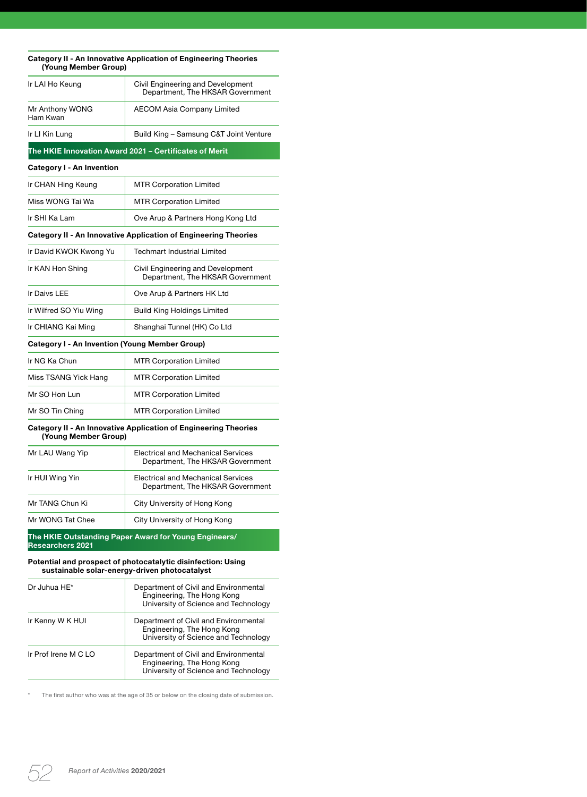| (Young Member Group)                           | <b>Category II - An Innovative Application of Engineering Theories</b>                                        |
|------------------------------------------------|---------------------------------------------------------------------------------------------------------------|
| Ir LAI Ho Keung                                | Civil Engineering and Development<br>Department, The HKSAR Government                                         |
| Mr Anthony WONG<br>Ham Kwan                    | <b>AECOM Asia Company Limited</b>                                                                             |
| Ir LI Kin Lung                                 | Build King – Samsung C&T Joint Venture                                                                        |
|                                                | The HKIE Innovation Award 2021 – Certificates of Merit                                                        |
| Category I - An Invention                      |                                                                                                               |
| Ir CHAN Hing Keung                             | <b>MTR Corporation Limited</b>                                                                                |
| Miss WONG Tai Wa                               | <b>MTR Corporation Limited</b>                                                                                |
| Ir SHI Ka Lam                                  | Ove Arup & Partners Hong Kong Ltd                                                                             |
|                                                | <b>Category II - An Innovative Application of Engineering Theories</b>                                        |
| Ir David KWOK Kwong Yu                         | <b>Techmart Industrial Limited</b>                                                                            |
| Ir KAN Hon Shing                               | Civil Engineering and Development<br>Department, The HKSAR Government                                         |
| Ir Daivs LEE                                   | Ove Arup & Partners HK Ltd                                                                                    |
| Ir Wilfred SO Yiu Wing                         | <b>Build King Holdings Limited</b>                                                                            |
| Ir CHIANG Kai Ming                             | Shanghai Tunnel (HK) Co Ltd                                                                                   |
| Category I - An Invention (Young Member Group) |                                                                                                               |
| Ir NG Ka Chun                                  | <b>MTR Corporation Limited</b>                                                                                |
| Miss TSANG Yick Hang                           | <b>MTR Corporation Limited</b>                                                                                |
| Mr SO Hon Lun                                  | <b>MTR Corporation Limited</b>                                                                                |
| Mr SO Tin Ching                                | <b>MTR Corporation Limited</b>                                                                                |
| (Young Member Group)                           | Category II - An Innovative Application of Engineering Theories                                               |
| Mr LAU Wang Yip                                | <b>Electrical and Mechanical Services</b><br>Department, The HKSAR Government                                 |
| Ir HUI Wing Yin                                | <b>Electrical and Mechanical Services</b><br>Department, The HKSAR Government                                 |
| Mr TANG Chun Ki                                | City University of Hong Kong                                                                                  |
| Mr WONG Tat Chee                               | City University of Hong Kong                                                                                  |
| <b>Researchers 2021</b>                        | The HKIE Outstanding Paper Award for Young Engineers/                                                         |
|                                                | Potential and prospect of photocatalytic disinfection: Using<br>sustainable solar-energy-driven photocatalyst |
| Dr Juhua HE*                                   | Department of Civil and Environmental<br>Engineering, The Hong Kong<br>University of Science and Technology   |
| Ir Kenny W K HUI                               | Department of Civil and Environmental<br>Engineering, The Hong Kong<br>University of Science and Technology   |
| Ir Prof Irene M C LO                           | Department of Civil and Environmental<br>Engineering, The Hong Kong                                           |

\* The first author who was at the age of 35 or below on the closing date of submission.

University of Science and Technology